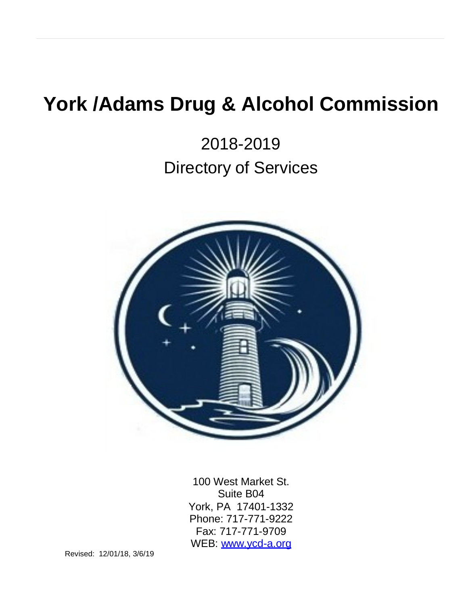# **York /Adams Drug & Alcohol Commission**

2018-2019 Directory of Services



100 West Market St. Suite B04 York, PA 17401-1332 Phone: 717-771-9222 Fax: 717-771-9709 WEB: [www.ycd-a.org](http://www.ycd-a.org/)

Revised: 12/01/18, 3/6/19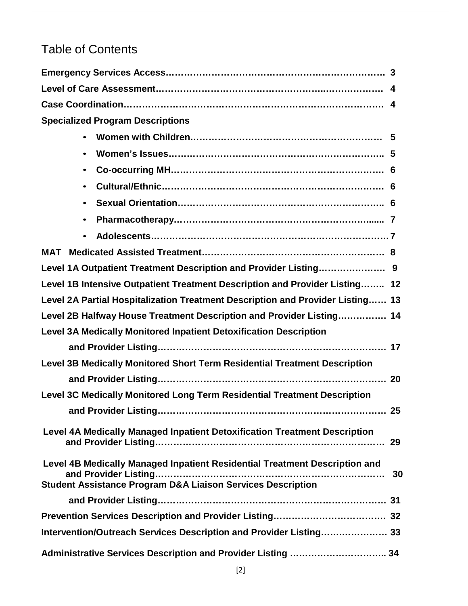# Table of Contents

| <b>Specialized Program Descriptions</b>                                                                                                                    |  |
|------------------------------------------------------------------------------------------------------------------------------------------------------------|--|
|                                                                                                                                                            |  |
| $\bullet$                                                                                                                                                  |  |
| $\bullet$                                                                                                                                                  |  |
| $\bullet$                                                                                                                                                  |  |
| $\bullet$                                                                                                                                                  |  |
| $\bullet$                                                                                                                                                  |  |
| $\bullet$                                                                                                                                                  |  |
|                                                                                                                                                            |  |
| Level 1A Outpatient Treatment Description and Provider Listing 9                                                                                           |  |
| Level 1B Intensive Outpatient Treatment Description and Provider Listing 12                                                                                |  |
| Level 2A Partial Hospitalization Treatment Description and Provider Listing 13                                                                             |  |
| Level 2B Halfway House Treatment Description and Provider Listing 14                                                                                       |  |
| Level 3A Medically Monitored Inpatient Detoxification Description                                                                                          |  |
|                                                                                                                                                            |  |
| Level 3B Medically Monitored Short Term Residential Treatment Description                                                                                  |  |
|                                                                                                                                                            |  |
| Level 3C Medically Monitored Long Term Residential Treatment Description                                                                                   |  |
|                                                                                                                                                            |  |
| Level 4A Medically Managed Inpatient Detoxification Treatment Description                                                                                  |  |
| Level 4B Medically Managed Inpatient Residential Treatment Description and<br>30<br><b>Student Assistance Program D&amp;A Liaison Services Description</b> |  |
|                                                                                                                                                            |  |
|                                                                                                                                                            |  |
| Intervention/Outreach Services Description and Provider Listing 33                                                                                         |  |
| Administrative Services Description and Provider Listing  34                                                                                               |  |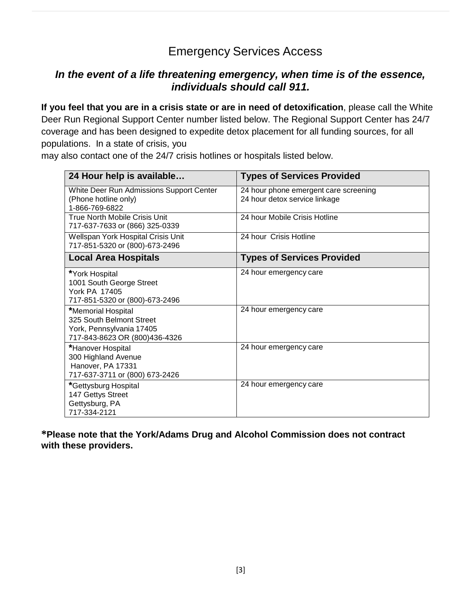# Emergency Services Access

#### *In the event of a life threatening emergency, when time is of the essence, individuals should call 911.*

**If you feel that you are in a crisis state or are in need of detoxification**, please call the White Deer Run Regional Support Center number listed below. The Regional Support Center has 24/7 coverage and has been designed to expedite detox placement for all funding sources, for all populations. In a state of crisis, you

may also contact one of the 24/7 crisis hotlines or hospitals listed below.

| 24 Hour help is available                                                                                   | <b>Types of Services Provided</b>                                      |
|-------------------------------------------------------------------------------------------------------------|------------------------------------------------------------------------|
| White Deer Run Admissions Support Center<br>(Phone hotline only)<br>1-866-769-6822                          | 24 hour phone emergent care screening<br>24 hour detox service linkage |
| True North Mobile Crisis Unit<br>717-637-7633 or (866) 325-0339                                             | 24 hour Mobile Crisis Hotline                                          |
| Wellspan York Hospital Crisis Unit<br>717-851-5320 or (800)-673-2496                                        | 24 hour Crisis Hotline                                                 |
| <b>Local Area Hospitals</b>                                                                                 | <b>Types of Services Provided</b>                                      |
| *York Hospital<br>1001 South George Street<br><b>York PA 17405</b><br>717-851-5320 or (800)-673-2496        | 24 hour emergency care                                                 |
| *Memorial Hospital<br>325 South Belmont Street<br>York, Pennsylvania 17405<br>717-843-8623 OR (800)436-4326 | 24 hour emergency care                                                 |
| *Hanover Hospital<br>300 Highland Avenue<br>Hanover, PA 17331<br>717-637-3711 or (800) 673-2426             | 24 hour emergency care                                                 |
| *Gettysburg Hospital<br>147 Gettys Street<br>Gettysburg, PA<br>717-334-2121                                 | 24 hour emergency care                                                 |

**\*Please note that the York/Adams Drug and Alcohol Commission does not contract with these providers.**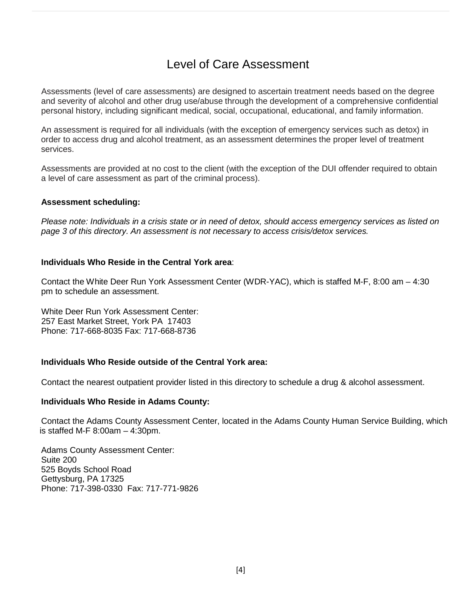### Level of Care Assessment

Assessments (level of care assessments) are designed to ascertain treatment needs based on the degree and severity of alcohol and other drug use/abuse through the development of a comprehensive confidential personal history, including significant medical, social, occupational, educational, and family information.

An assessment is required for all individuals (with the exception of emergency services such as detox) in order to access drug and alcohol treatment, as an assessment determines the proper level of treatment services.

Assessments are provided at no cost to the client (with the exception of the DUI offender required to obtain a level of care assessment as part of the criminal process).

#### **Assessment scheduling:**

*Please note: Individuals in a crisis state or in need of detox, should access emergency services as listed on page 3 of this directory. An assessment is not necessary to access crisis/detox services.*

#### **Individuals Who Reside in the Central York area**:

Contact the White Deer Run York Assessment Center (WDR-YAC), which is staffed M-F, 8:00 am – 4:30 pm to schedule an assessment.

White Deer Run York Assessment Center: 257 East Market Street, York PA 17403 Phone: 717-668-8035 Fax: 717-668-8736

#### **Individuals Who Reside outside of the Central York area:**

Contact the nearest outpatient provider listed in this directory to schedule a drug & alcohol assessment.

#### **Individuals Who Reside in Adams County:**

Contact the Adams County Assessment Center, located in the Adams County Human Service Building, which is staffed M-F 8:00am – 4:30pm.

Adams County Assessment Center: Suite 200 525 Boyds School Road Gettysburg, PA 17325 Phone: 717-398-0330 Fax: 717-771-9826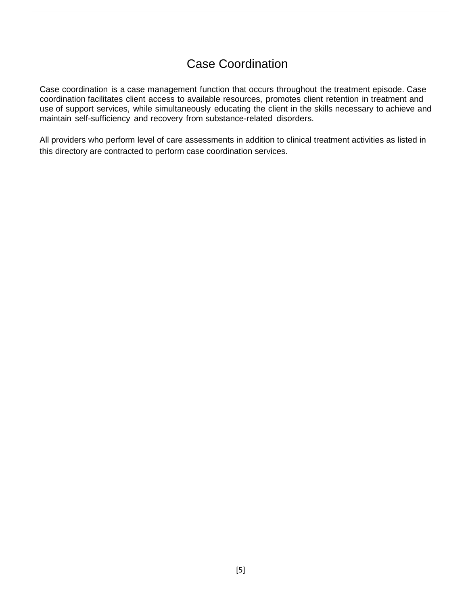## Case Coordination

Case coordination is a case management function that occurs throughout the treatment episode. Case coordination facilitates client access to available resources, promotes client retention in treatment and use of support services, while simultaneously educating the client in the skills necessary to achieve and maintain self-sufficiency and recovery from substance-related disorders.

All providers who perform level of care assessments in addition to clinical treatment activities as listed in this directory are contracted to perform case coordination services.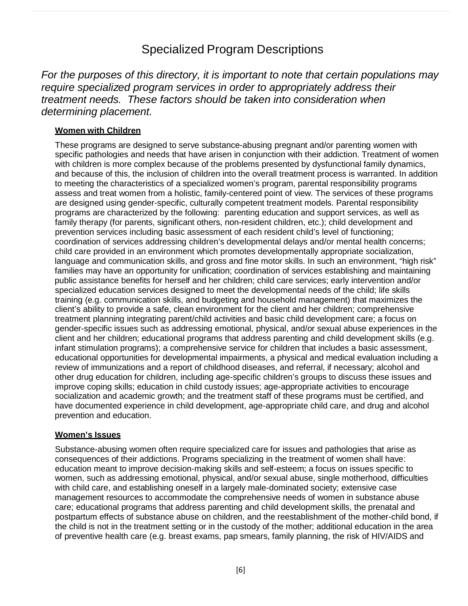### Specialized Program Descriptions

*For the purposes of this directory, it is important to note that certain populations may require specialized program services in order to appropriately address their treatment needs. These factors should be taken into consideration when determining placement.*

#### **Women with Children**

These programs are designed to serve substance-abusing pregnant and/or parenting women with specific pathologies and needs that have arisen in conjunction with their addiction. Treatment of women with children is more complex because of the problems presented by dysfunctional family dynamics, and because of this, the inclusion of children into the overall treatment process is warranted. In addition to meeting the characteristics of a specialized women's program, parental responsibility programs assess and treat women from a holistic, family-centered point of view. The services of these programs are designed using gender-specific, culturally competent treatment models. Parental responsibility programs are characterized by the following: parenting education and support services, as well as family therapy (for parents, significant others, non-resident children, etc.); child development and prevention services including basic assessment of each resident child's level of functioning; coordination of services addressing children's developmental delays and/or mental health concerns; child care provided in an environment which promotes developmentally appropriate socialization, language and communication skills, and gross and fine motor skills. In such an environment, "high risk" families may have an opportunity for unification; coordination of services establishing and maintaining public assistance benefits for herself and her children; child care services; early intervention and/or specialized education services designed to meet the developmental needs of the child; life skills training (e.g. communication skills, and budgeting and household management) that maximizes the client's ability to provide a safe, clean environment for the client and her children; comprehensive treatment planning integrating parent/child activities and basic child development care; a focus on gender-specific issues such as addressing emotional, physical, and/or sexual abuse experiences in the client and her children; educational programs that address parenting and child development skills (e.g. infant stimulation programs); a comprehensive service for children that includes a basic assessment, educational opportunities for developmental impairments, a physical and medical evaluation including a review of immunizations and a report of childhood diseases, and referral, if necessary; alcohol and other drug education for children, including age-specific children's groups to discuss these issues and improve coping skills; education in child custody issues; age-appropriate activities to encourage socialization and academic growth; and the treatment staff of these programs must be certified, and have documented experience in child development, age-appropriate child care, and drug and alcohol prevention and education.

#### **Women's Issues**

Substance-abusing women often require specialized care for issues and pathologies that arise as consequences of their addictions. Programs specializing in the treatment of women shall have: education meant to improve decision-making skills and self-esteem; a focus on issues specific to women, such as addressing emotional, physical, and/or sexual abuse, single motherhood, difficulties with child care, and establishing oneself in a largely male-dominated society; extensive case management resources to accommodate the comprehensive needs of women in substance abuse care; educational programs that address parenting and child development skills, the prenatal and postpartum effects of substance abuse on children, and the reestablishment of the mother-child bond, if the child is not in the treatment setting or in the custody of the mother; additional education in the area of preventive health care (e.g. breast exams, pap smears, family planning, the risk of HIV/AIDS and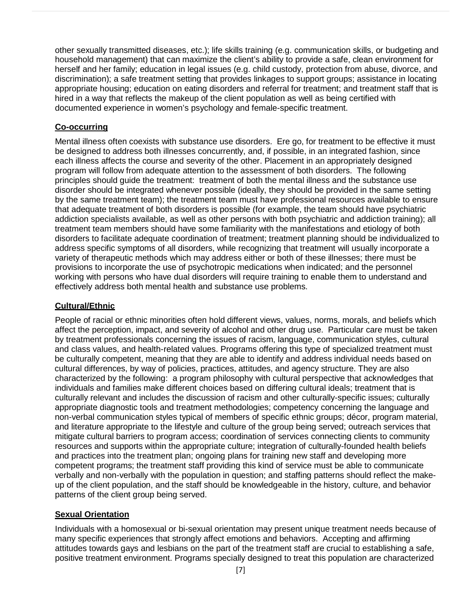other sexually transmitted diseases, etc.); life skills training (e.g. communication skills, or budgeting and household management) that can maximize the client's ability to provide a safe, clean environment for herself and her family; education in legal issues (e.g. child custody, protection from abuse, divorce, and discrimination); a safe treatment setting that provides linkages to support groups; assistance in locating appropriate housing; education on eating disorders and referral for treatment; and treatment staff that is hired in a way that reflects the makeup of the client population as well as being certified with documented experience in women's psychology and female-specific treatment.

#### **Co-occurring**

Mental illness often coexists with substance use disorders. Ere go, for treatment to be effective it must be designed to address both illnesses concurrently, and, if possible, in an integrated fashion, since each illness affects the course and severity of the other. Placement in an appropriately designed program will follow from adequate attention to the assessment of both disorders. The following principles should guide the treatment: treatment of both the mental illness and the substance use disorder should be integrated whenever possible (ideally, they should be provided in the same setting by the same treatment team); the treatment team must have professional resources available to ensure that adequate treatment of both disorders is possible (for example, the team should have psychiatric addiction specialists available, as well as other persons with both psychiatric and addiction training); all treatment team members should have some familiarity with the manifestations and etiology of both disorders to facilitate adequate coordination of treatment; treatment planning should be individualized to address specific symptoms of all disorders, while recognizing that treatment will usually incorporate a variety of therapeutic methods which may address either or both of these illnesses; there must be provisions to incorporate the use of psychotropic medications when indicated; and the personnel working with persons who have dual disorders will require training to enable them to understand and effectively address both mental health and substance use problems.

#### **Cultural/Ethnic**

People of racial or ethnic minorities often hold different views, values, norms, morals, and beliefs which affect the perception, impact, and severity of alcohol and other drug use. Particular care must be taken by treatment professionals concerning the issues of racism, language, communication styles, cultural and class values, and health-related values. Programs offering this type of specialized treatment must be culturally competent, meaning that they are able to identify and address individual needs based on cultural differences, by way of policies, practices, attitudes, and agency structure. They are also characterized by the following: a program philosophy with cultural perspective that acknowledges that individuals and families make different choices based on differing cultural ideals; treatment that is culturally relevant and includes the discussion of racism and other culturally-specific issues; culturally appropriate diagnostic tools and treatment methodologies; competency concerning the language and non-verbal communication styles typical of members of specific ethnic groups; décor, program material, and literature appropriate to the lifestyle and culture of the group being served; outreach services that mitigate cultural barriers to program access; coordination of services connecting clients to community resources and supports within the appropriate culture; integration of culturally-founded health beliefs and practices into the treatment plan; ongoing plans for training new staff and developing more competent programs; the treatment staff providing this kind of service must be able to communicate verbally and non-verbally with the population in question; and staffing patterns should reflect the makeup of the client population, and the staff should be knowledgeable in the history, culture, and behavior patterns of the client group being served.

#### **Sexual Orientation**

Individuals with a homosexual or bi-sexual orientation may present unique treatment needs because of many specific experiences that strongly affect emotions and behaviors. Accepting and affirming attitudes towards gays and lesbians on the part of the treatment staff are crucial to establishing a safe, positive treatment environment. Programs specially designed to treat this population are characterized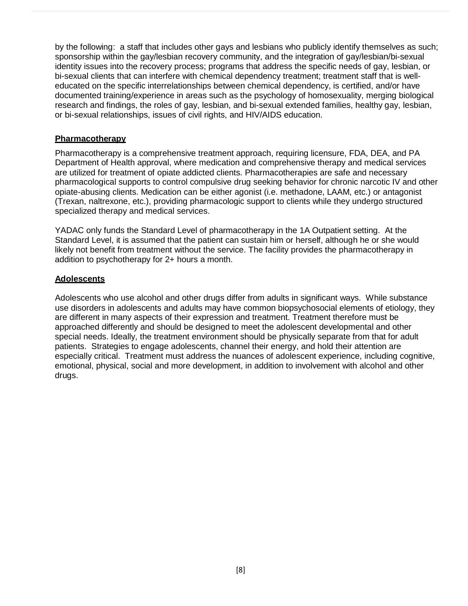by the following: a staff that includes other gays and lesbians who publicly identify themselves as such; sponsorship within the gay/lesbian recovery community, and the integration of gay/lesbian/bi-sexual identity issues into the recovery process; programs that address the specific needs of gay, lesbian, or bi-sexual clients that can interfere with chemical dependency treatment; treatment staff that is welleducated on the specific interrelationships between chemical dependency, is certified, and/or have documented training/experience in areas such as the psychology of homosexuality, merging biological research and findings, the roles of gay, lesbian, and bi-sexual extended families, healthy gay, lesbian, or bi-sexual relationships, issues of civil rights, and HIV/AIDS education.

#### **Pharmacotherapy**

Pharmacotherapy is a comprehensive treatment approach, requiring licensure, FDA, DEA, and PA Department of Health approval, where medication and comprehensive therapy and medical services are utilized for treatment of opiate addicted clients. Pharmacotherapies are safe and necessary pharmacological supports to control compulsive drug seeking behavior for chronic narcotic IV and other opiate-abusing clients. Medication can be either agonist (i.e. methadone, LAAM, etc.) or antagonist (Trexan, naltrexone, etc.), providing pharmacologic support to clients while they undergo structured specialized therapy and medical services.

YADAC only funds the Standard Level of pharmacotherapy in the 1A Outpatient setting. At the Standard Level, it is assumed that the patient can sustain him or herself, although he or she would likely not benefit from treatment without the service. The facility provides the pharmacotherapy in addition to psychotherapy for 2+ hours a month.

#### **Adolescents**

Adolescents who use alcohol and other drugs differ from adults in significant ways. While substance use disorders in adolescents and adults may have common biopsychosocial elements of etiology, they are different in many aspects of their expression and treatment. Treatment therefore must be approached differently and should be designed to meet the adolescent developmental and other special needs. Ideally, the treatment environment should be physically separate from that for adult patients. Strategies to engage adolescents, channel their energy, and hold their attention are especially critical. Treatment must address the nuances of adolescent experience, including cognitive, emotional, physical, social and more development, in addition to involvement with alcohol and other drugs.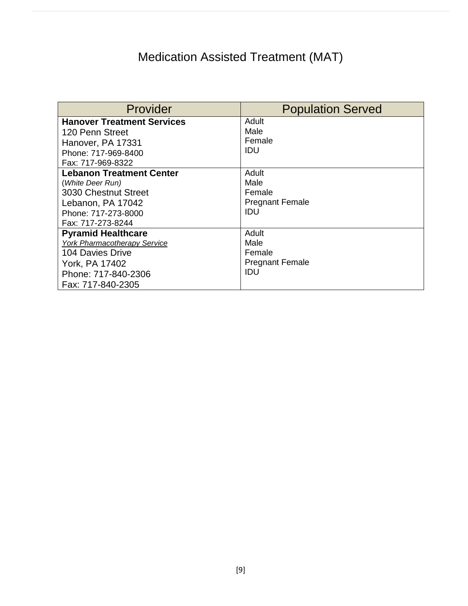# Medication Assisted Treatment (MAT)

| Provider                            | <b>Population Served</b> |
|-------------------------------------|--------------------------|
| <b>Hanover Treatment Services</b>   | Adult                    |
| 120 Penn Street                     | Male                     |
| Hanover, PA 17331                   | Female                   |
| Phone: 717-969-8400                 | IDU                      |
| Fax: 717-969-8322                   |                          |
| <b>Lebanon Treatment Center</b>     | Adult                    |
| (White Deer Run)                    | Male                     |
| 3030 Chestnut Street                | Female                   |
| Lebanon, PA 17042                   | <b>Pregnant Female</b>   |
| Phone: 717-273-8000                 | IDU                      |
| Fax: 717-273-8244                   |                          |
| <b>Pyramid Healthcare</b>           | Adult                    |
| <b>York Pharmacotherapy Service</b> | Male                     |
| 104 Davies Drive                    | Female                   |
| York, PA 17402                      | <b>Pregnant Female</b>   |
| Phone: 717-840-2306                 | IDU                      |
| Fax: 717-840-2305                   |                          |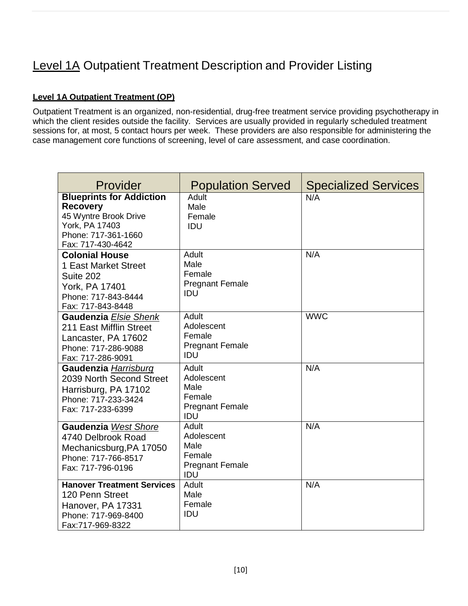# Level 1A Outpatient Treatment Description and Provider Listing

#### **Level 1A Outpatient Treatment (OP)**

Outpatient Treatment is an organized, non-residential, drug-free treatment service providing psychotherapy in which the client resides outside the facility. Services are usually provided in regularly scheduled treatment sessions for, at most, 5 contact hours per week. These providers are also responsible for administering the case management core functions of screening, level of care assessment, and case coordination.

| Provider                                                                                                                                  | <b>Population Served</b>                                               | <b>Specialized Services</b> |
|-------------------------------------------------------------------------------------------------------------------------------------------|------------------------------------------------------------------------|-----------------------------|
| <b>Blueprints for Addiction</b><br><b>Recovery</b><br>45 Wyntre Brook Drive<br>York, PA 17403<br>Phone: 717-361-1660<br>Fax: 717-430-4642 | Adult<br>Male<br>Female<br>IDU                                         | N/A                         |
| <b>Colonial House</b><br>1 East Market Street<br>Suite 202<br>York, PA 17401<br>Phone: 717-843-8444<br>Fax: 717-843-8448                  | Adult<br>Male<br>Female<br><b>Pregnant Female</b><br><b>IDU</b>        | N/A                         |
| Gaudenzia Elsie Shenk<br>211 East Mifflin Street<br>Lancaster, PA 17602<br>Phone: 717-286-9088<br>Fax: 717-286-9091                       | Adult<br>Adolescent<br>Female<br><b>Pregnant Female</b><br><b>IDU</b>  | <b>WWC</b>                  |
| Gaudenzia Harrisburg<br>2039 North Second Street<br>Harrisburg, PA 17102<br>Phone: 717-233-3424<br>Fax: 717-233-6399                      | Adult<br>Adolescent<br>Male<br>Female<br><b>Pregnant Female</b><br>IDU | N/A                         |
| Gaudenzia West Shore<br>4740 Delbrook Road<br>Mechanicsburg, PA 17050<br>Phone: 717-766-8517<br>Fax: 717-796-0196                         | Adult<br>Adolescent<br>Male<br>Female<br><b>Pregnant Female</b><br>IDU | N/A                         |
| <b>Hanover Treatment Services</b><br>120 Penn Street<br>Hanover, PA 17331<br>Phone: 717-969-8400<br>Fax:717-969-8322                      | Adult<br>Male<br>Female<br>IDU                                         | N/A                         |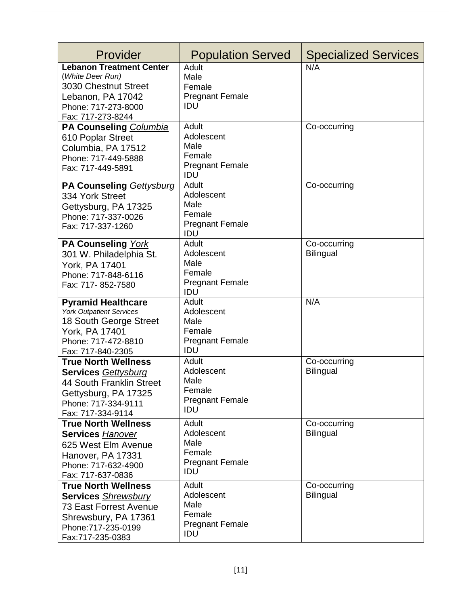| Provider                                                                                                                                                     | <b>Population Served</b>                                               | <b>Specialized Services</b>      |
|--------------------------------------------------------------------------------------------------------------------------------------------------------------|------------------------------------------------------------------------|----------------------------------|
| <b>Lebanon Treatment Center</b><br>(White Deer Run)<br>3030 Chestnut Street<br>Lebanon, PA 17042<br>Phone: 717-273-8000<br>Fax: 717-273-8244                 | Adult<br>Male<br>Female<br><b>Pregnant Female</b><br>IDU               | N/A                              |
| PA Counseling Columbia<br>610 Poplar Street<br>Columbia, PA 17512<br>Phone: 717-449-5888<br>Fax: 717-449-5891                                                | Adult<br>Adolescent<br>Male<br>Female<br><b>Pregnant Female</b><br>IDU | Co-occurring                     |
| PA Counseling Gettysburg<br>334 York Street<br>Gettysburg, PA 17325<br>Phone: 717-337-0026<br>Fax: 717-337-1260                                              | Adult<br>Adolescent<br>Male<br>Female<br><b>Pregnant Female</b><br>IDU | Co-occurring                     |
| PA Counseling York<br>301 W. Philadelphia St.<br>York, PA 17401<br>Phone: 717-848-6116<br>Fax: 717-852-7580                                                  | Adult<br>Adolescent<br>Male<br>Female<br><b>Pregnant Female</b><br>IDU | Co-occurring<br><b>Bilingual</b> |
| <b>Pyramid Healthcare</b><br><b>York Outpatient Services</b><br>18 South George Street<br>York, PA 17401<br>Phone: 717-472-8810<br>Fax: 717-840-2305         | Adult<br>Adolescent<br>Male<br>Female<br><b>Pregnant Female</b><br>IDU | N/A                              |
| <b>True North Wellness</b><br><b>Services Gettysburg</b><br>44 South Franklin Street<br>Gettysburg, PA 17325<br>Phone: 717-334-9111<br>Fax: 717-334-9114     | Adult<br>Adolescent<br>Male<br>Female<br><b>Pregnant Female</b><br>IDU | Co-occurring<br><b>Bilingual</b> |
| <b>True North Wellness</b><br><b>Services Hanover</b><br>625 West Elm Avenue<br>Hanover, PA 17331<br>Phone: 717-632-4900<br>Fax: 717-637-0836                | Adult<br>Adolescent<br>Male<br>Female<br><b>Pregnant Female</b><br>IDU | Co-occurring<br><b>Bilingual</b> |
| <b>True North Wellness</b><br><b>Services Shrewsbury</b><br><b>73 East Forrest Avenue</b><br>Shrewsbury, PA 17361<br>Phone: 717-235-0199<br>Fax:717-235-0383 | Adult<br>Adolescent<br>Male<br>Female<br><b>Pregnant Female</b><br>IDU | Co-occurring<br><b>Bilingual</b> |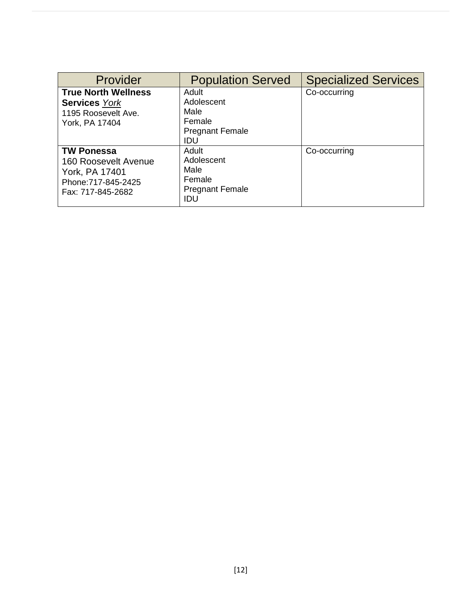| Provider                                                                                                | <b>Population Served</b>                                               | <b>Specialized Services</b> |
|---------------------------------------------------------------------------------------------------------|------------------------------------------------------------------------|-----------------------------|
| <b>True North Wellness</b><br><b>Services York</b><br>1195 Roosevelt Ave.<br>York, PA 17404             | Adult<br>Adolescent<br>Male<br>Female<br><b>Pregnant Female</b><br>IDU | Co-occurring                |
| <b>TW Ponessa</b><br>160 Roosevelt Avenue<br>York, PA 17401<br>Phone: 717-845-2425<br>Fax: 717-845-2682 | Adult<br>Adolescent<br>Male<br>Female<br><b>Pregnant Female</b><br>IDU | Co-occurring                |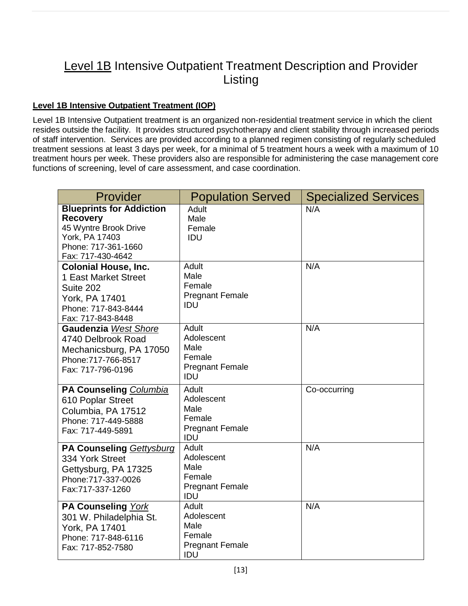# Level 1B Intensive Outpatient Treatment Description and Provider Listing

#### **Level 1B Intensive Outpatient Treatment (IOP)**

Level 1B Intensive Outpatient treatment is an organized non-residential treatment service in which the client resides outside the facility. It provides structured psychotherapy and client stability through increased periods of staff intervention. Services are provided according to a planned regimen consisting of regularly scheduled treatment sessions at least 3 days per week, for a minimal of 5 treatment hours a week with a maximum of 10 treatment hours per week. These providers also are responsible for administering the case management core functions of screening, level of care assessment, and case coordination.

| Provider                                                                                                                                  | <b>Population Served</b>                                               | <b>Specialized Services</b> |
|-------------------------------------------------------------------------------------------------------------------------------------------|------------------------------------------------------------------------|-----------------------------|
| <b>Blueprints for Addiction</b><br><b>Recovery</b><br>45 Wyntre Brook Drive<br>York, PA 17403<br>Phone: 717-361-1660<br>Fax: 717-430-4642 | Adult<br>Male<br>Female<br>IDU                                         | N/A                         |
| <b>Colonial House, Inc.</b><br>1 East Market Street<br>Suite 202<br>York, PA 17401<br>Phone: 717-843-8444<br>Fax: 717-843-8448            | Adult<br>Male<br>Female<br><b>Pregnant Female</b><br>IDU               | N/A                         |
| <b>Gaudenzia West Shore</b><br>4740 Delbrook Road<br>Mechanicsburg, PA 17050<br>Phone: 717-766-8517<br>Fax: 717-796-0196                  | Adult<br>Adolescent<br>Male<br>Female<br><b>Pregnant Female</b><br>IDU | N/A                         |
| PA Counseling Columbia<br>610 Poplar Street<br>Columbia, PA 17512<br>Phone: 717-449-5888<br>Fax: 717-449-5891                             | Adult<br>Adolescent<br>Male<br>Female<br><b>Pregnant Female</b><br>IDU | Co-occurring                |
| PA Counseling Gettysburg<br>334 York Street<br>Gettysburg, PA 17325<br>Phone: 717-337-0026<br>Fax:717-337-1260                            | Adult<br>Adolescent<br>Male<br>Female<br><b>Pregnant Female</b><br>IDU | N/A                         |
| PA Counseling York<br>301 W. Philadelphia St.<br>York, PA 17401<br>Phone: 717-848-6116<br>Fax: 717-852-7580                               | Adult<br>Adolescent<br>Male<br>Female<br><b>Pregnant Female</b><br>IDU | N/A                         |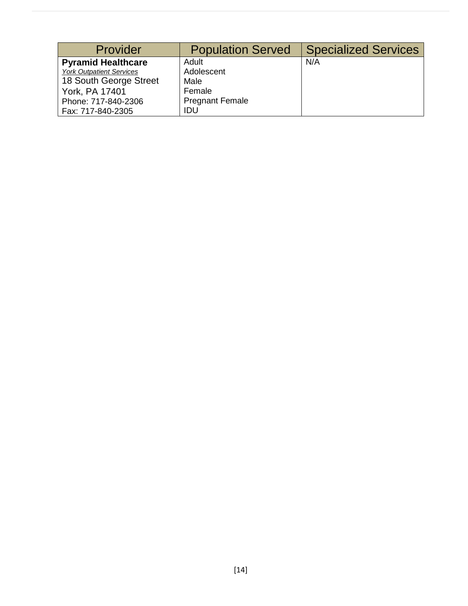| Provider                        | <b>Population Served</b> | <b>Specialized Services</b> |
|---------------------------------|--------------------------|-----------------------------|
| <b>Pyramid Healthcare</b>       | Adult                    | N/A                         |
| <b>York Outpatient Services</b> | Adolescent               |                             |
| 18 South George Street          | Male                     |                             |
| York, PA 17401                  | Female                   |                             |
| Phone: 717-840-2306             | <b>Pregnant Female</b>   |                             |
| Fax: 717-840-2305               | IDU                      |                             |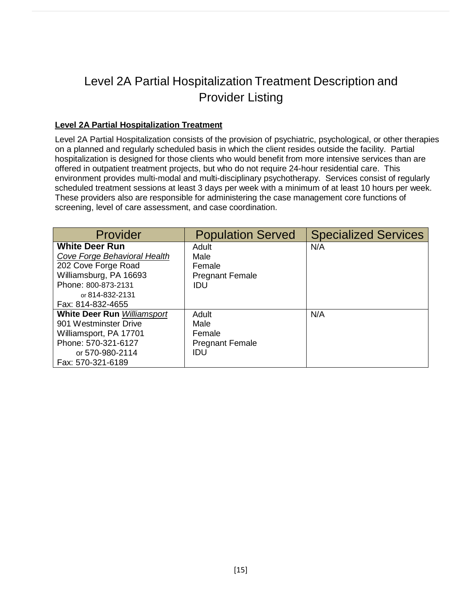# Level 2A Partial Hospitalization Treatment Description and Provider Listing

#### **Level 2A Partial Hospitalization Treatment**

Level 2A Partial Hospitalization consists of the provision of psychiatric, psychological, or other therapies on a planned and regularly scheduled basis in which the client resides outside the facility. Partial hospitalization is designed for those clients who would benefit from more intensive services than are offered in outpatient treatment projects, but who do not require 24-hour residential care. This environment provides multi-modal and multi-disciplinary psychotherapy. Services consist of regularly scheduled treatment sessions at least 3 days per week with a minimum of at least 10 hours per week. These providers also are responsible for administering the case management core functions of screening, level of care assessment, and case coordination.

| Provider                           | <b>Population Served</b> | <b>Specialized Services</b> |
|------------------------------------|--------------------------|-----------------------------|
| <b>White Deer Run</b>              | Adult                    | N/A                         |
| Cove Forge Behavioral Health       | Male                     |                             |
| 202 Cove Forge Road                | Female                   |                             |
| Williamsburg, PA 16693             | <b>Pregnant Female</b>   |                             |
| Phone: 800-873-2131                | IDU                      |                             |
| or 814-832-2131                    |                          |                             |
| Fax: 814-832-4655                  |                          |                             |
| <b>White Deer Run Williamsport</b> | Adult                    | N/A                         |
| 901 Westminster Drive              | Male                     |                             |
| Williamsport, PA 17701             | Female                   |                             |
| Phone: 570-321-6127                | <b>Pregnant Female</b>   |                             |
| or 570-980-2114                    | IDU                      |                             |
| Fax: 570-321-6189                  |                          |                             |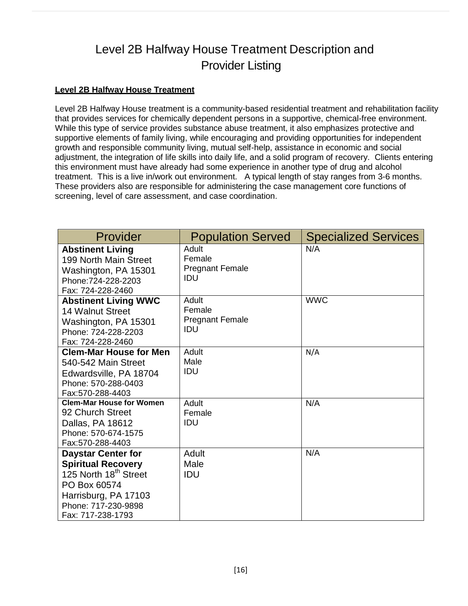# Level 2B Halfway House Treatment Description and Provider Listing

#### **Level 2B Halfway House Treatment**

Level 2B Halfway House treatment is a community-based residential treatment and rehabilitation facility that provides services for chemically dependent persons in a supportive, chemical-free environment. While this type of service provides substance abuse treatment, it also emphasizes protective and supportive elements of family living, while encouraging and providing opportunities for independent growth and responsible community living, mutual self-help, assistance in economic and social adjustment, the integration of life skills into daily life, and a solid program of recovery. Clients entering this environment must have already had some experience in another type of drug and alcohol treatment. This is a live in/work out environment. A typical length of stay ranges from 3-6 months. These providers also are responsible for administering the case management core functions of screening, level of care assessment, and case coordination.

| Provider                                                                                                                                                                        | <b>Population Served</b>                         | <b>Specialized Services</b> |
|---------------------------------------------------------------------------------------------------------------------------------------------------------------------------------|--------------------------------------------------|-----------------------------|
| <b>Abstinent Living</b><br>199 North Main Street<br>Washington, PA 15301<br>Phone: 724-228-2203<br>Fax: 724-228-2460                                                            | Adult<br>Female<br><b>Pregnant Female</b><br>IDU | N/A                         |
| <b>Abstinent Living WWC</b><br><b>14 Walnut Street</b><br>Washington, PA 15301<br>Phone: 724-228-2203<br>Fax: 724-228-2460                                                      | Adult<br>Female<br><b>Pregnant Female</b><br>IDU | <b>WWC</b>                  |
| <b>Clem-Mar House for Men</b><br>540-542 Main Street<br>Edwardsville, PA 18704<br>Phone: 570-288-0403<br>Fax:570-288-4403                                                       | Adult<br>Male<br>IDU                             | N/A                         |
| <b>Clem-Mar House for Women</b><br>92 Church Street<br>Dallas, PA 18612<br>Phone: 570-674-1575<br>Fax:570-288-4403                                                              | Adult<br>Female<br>IDU                           | N/A                         |
| <b>Daystar Center for</b><br><b>Spiritual Recovery</b><br>125 North 18 <sup>th</sup> Street<br>PO Box 60574<br>Harrisburg, PA 17103<br>Phone: 717-230-9898<br>Fax: 717-238-1793 | Adult<br>Male<br>IDU                             | N/A                         |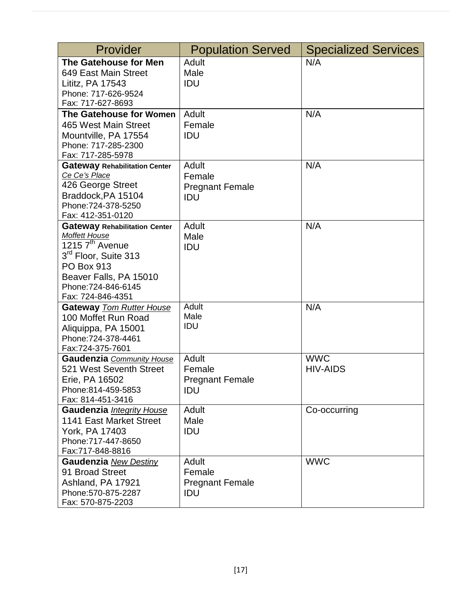| Provider                                                                                                                                                                                                                   | <b>Population Served</b>                                | <b>Specialized Services</b>   |
|----------------------------------------------------------------------------------------------------------------------------------------------------------------------------------------------------------------------------|---------------------------------------------------------|-------------------------------|
| The Gatehouse for Men<br>649 East Main Street<br>Lititz, PA 17543<br>Phone: 717-626-9524<br>Fax: 717-627-8693                                                                                                              | Adult<br>Male<br>IDU                                    | N/A                           |
| The Gatehouse for Women<br>465 West Main Street<br>Mountville, PA 17554<br>Phone: 717-285-2300<br>Fax: 717-285-5978                                                                                                        | Adult<br>Female<br>IDU                                  | N/A                           |
| <b>Gateway Rehabilitation Center</b><br>Ce Ce's Place<br>426 George Street<br>Braddock, PA 15104<br>Phone: 724-378-5250<br>Fax: 412-351-0120                                                                               | Adult<br>Female<br><b>Pregnant Female</b><br><b>IDU</b> | N/A                           |
| <b>Gateway Rehabilitation Center</b><br><b>Moffett House</b><br>1215 7 <sup>th</sup> Avenue<br>3 <sup>rd</sup> Floor, Suite 313<br><b>PO Box 913</b><br>Beaver Falls, PA 15010<br>Phone: 724-846-6145<br>Fax: 724-846-4351 | Adult<br>Male<br>IDU                                    | N/A                           |
| <b>Gateway Tom Rutter House</b><br>100 Moffet Run Road<br>Aliquippa, PA 15001<br>Phone: 724-378-4461<br>Fax:724-375-7601                                                                                                   | Adult<br>Male<br>IDU                                    | N/A                           |
| <b>Gaudenzia</b> Community House<br>521 West Seventh Street<br>Erie, PA 16502<br>Phone:814-459-5853<br>Fax: 814-451-3416                                                                                                   | Adult<br>Female<br><b>Pregnant Female</b><br><b>IDU</b> | <b>WWC</b><br><b>HIV-AIDS</b> |
| Gaudenzia Integrity House<br>1141 East Market Street<br>York, PA 17403<br>Phone: 717-447-8650<br>Fax:717-848-8816                                                                                                          | Adult<br>Male<br>IDU                                    | Co-occurring                  |
| <b>Gaudenzia</b> New Destiny<br>91 Broad Street<br>Ashland, PA 17921<br>Phone: 570-875-2287<br>Fax: 570-875-2203                                                                                                           | Adult<br>Female<br><b>Pregnant Female</b><br>IDU        | <b>WWC</b>                    |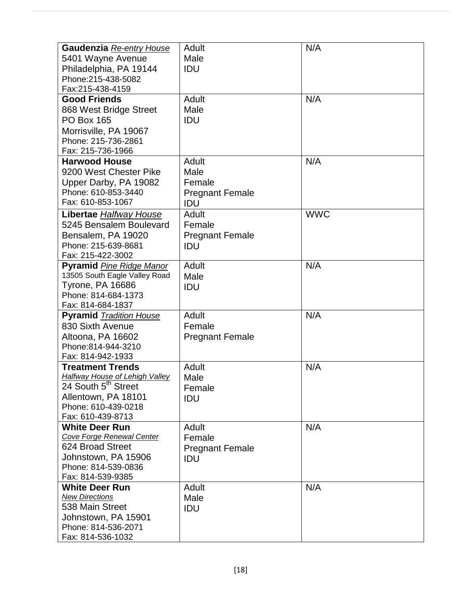| Gaudenzia Re-entry House                                  | Adult                  | N/A        |
|-----------------------------------------------------------|------------------------|------------|
| 5401 Wayne Avenue                                         | Male                   |            |
| Philadelphia, PA 19144<br>Phone: 215-438-5082             | IDU                    |            |
| Fax:215-438-4159                                          |                        |            |
| <b>Good Friends</b>                                       | Adult                  | N/A        |
| 868 West Bridge Street                                    | Male                   |            |
| <b>PO Box 165</b>                                         | IDU                    |            |
| Morrisville, PA 19067                                     |                        |            |
| Phone: 215-736-2861                                       |                        |            |
| Fax: 215-736-1966                                         |                        |            |
| <b>Harwood House</b>                                      | Adult                  | N/A        |
| 9200 West Chester Pike                                    | Male                   |            |
| Upper Darby, PA 19082                                     | Female                 |            |
| Phone: 610-853-3440                                       | <b>Pregnant Female</b> |            |
| Fax: 610-853-1067                                         | IDU                    |            |
| <b>Libertae Halfway House</b>                             | Adult                  | <b>WWC</b> |
| 5245 Bensalem Boulevard                                   | Female                 |            |
| Bensalem, PA 19020                                        | <b>Pregnant Female</b> |            |
| Phone: 215-639-8681                                       | IDU                    |            |
| Fax: 215-422-3002                                         |                        |            |
| <b>Pyramid Pine Ridge Manor</b>                           | Adult                  | N/A        |
| 13505 South Eagle Valley Road                             | Male                   |            |
| <b>Tyrone, PA 16686</b>                                   | IDU                    |            |
| Phone: 814-684-1373                                       |                        |            |
| Fax: 814-684-1837                                         |                        |            |
| <b>Pyramid Tradition House</b>                            | Adult                  | N/A        |
| 830 Sixth Avenue                                          | Female                 |            |
| Altoona, PA 16602                                         | <b>Pregnant Female</b> |            |
| Phone: 814-944-3210                                       |                        |            |
| Fax: 814-942-1933                                         |                        |            |
| <b>Treatment Trends</b>                                   | Adult                  | N/A        |
| <b>Halfway House of Lehigh Valley</b>                     | Male                   |            |
| 24 South 5 <sup>th</sup> Street                           | Female                 |            |
| Allentown, PA 18101                                       | <b>IDU</b>             |            |
| Phone: 610-439-0218                                       |                        |            |
| Fax: 610-439-8713                                         |                        |            |
| <b>White Deer Run</b><br><b>Cove Forge Renewal Center</b> | Adult<br>Female        | N/A        |
| 624 Broad Street                                          |                        |            |
| Johnstown, PA 15906                                       | <b>Pregnant Female</b> |            |
| Phone: 814-539-0836                                       | IDU                    |            |
| Fax: 814-539-9385                                         |                        |            |
| <b>White Deer Run</b>                                     | Adult                  | N/A        |
| <b>New Directions</b>                                     | Male                   |            |
| 538 Main Street                                           | IDU                    |            |
| Johnstown, PA 15901                                       |                        |            |
| Phone: 814-536-2071                                       |                        |            |
| Fax: 814-536-1032                                         |                        |            |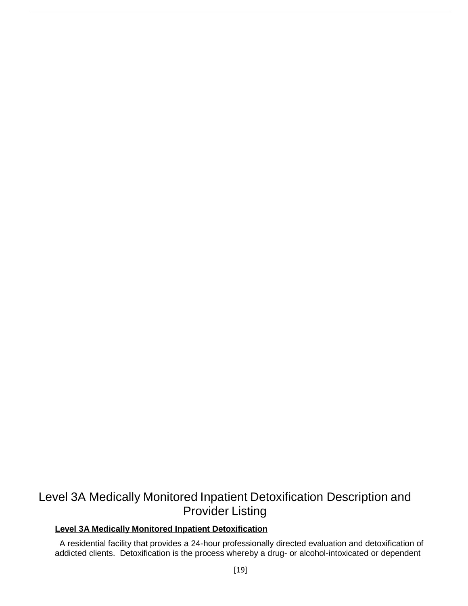### Level 3A Medically Monitored Inpatient Detoxification Description and Provider Listing

#### **Level 3A Medically Monitored Inpatient Detoxification**

A residential facility that provides a 24-hour professionally directed evaluation and detoxification of addicted clients. Detoxification is the process whereby a drug- or alcohol-intoxicated or dependent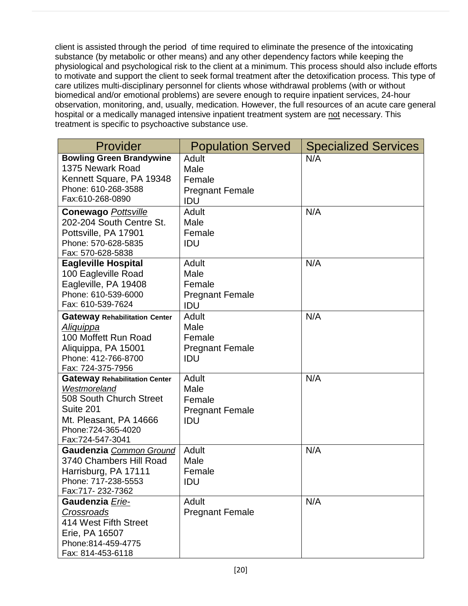client is assisted through the period of time required to eliminate the presence of the intoxicating substance (by metabolic or other means) and any other dependency factors while keeping the physiological and psychological risk to the client at a minimum. This process should also include efforts to motivate and support the client to seek formal treatment after the detoxification process. This type of care utilizes multi-disciplinary personnel for clients whose withdrawal problems (with or without biomedical and/or emotional problems) are severe enough to require inpatient services, 24-hour observation, monitoring, and, usually, medication. However, the full resources of an acute care general hospital or a medically managed intensive inpatient treatment system are not necessary. This treatment is specific to psychoactive substance use.

| Provider                                                                                                                                                          | <b>Population Served</b>                                 | <b>Specialized Services</b> |
|-------------------------------------------------------------------------------------------------------------------------------------------------------------------|----------------------------------------------------------|-----------------------------|
| <b>Bowling Green Brandywine</b><br>1375 Newark Road<br>Kennett Square, PA 19348<br>Phone: 610-268-3588<br>Fax:610-268-0890                                        | Adult<br>Male<br>Female<br><b>Pregnant Female</b><br>IDU | N/A                         |
| <b>Conewago Pottsville</b><br>202-204 South Centre St.<br>Pottsville, PA 17901<br>Phone: 570-628-5835<br>Fax: 570-628-5838                                        | Adult<br>Male<br>Female<br>IDU                           | N/A                         |
| <b>Eagleville Hospital</b><br>100 Eagleville Road<br>Eagleville, PA 19408<br>Phone: 610-539-6000<br>Fax: 610-539-7624                                             | Adult<br>Male<br>Female<br><b>Pregnant Female</b><br>IDU | N/A                         |
| <b>Gateway Rehabilitation Center</b><br><u>Aliquippa</u><br>100 Moffett Run Road<br>Aliquippa, PA 15001<br>Phone: 412-766-8700<br>Fax: 724-375-7956               | Adult<br>Male<br>Female<br><b>Pregnant Female</b><br>IDU | N/A                         |
| <b>Gateway Rehabilitation Center</b><br>Westmoreland<br>508 South Church Street<br>Suite 201<br>Mt. Pleasant, PA 14666<br>Phone: 724-365-4020<br>Fax:724-547-3041 | Adult<br>Male<br>Female<br><b>Pregnant Female</b><br>IDU | N/A                         |
| Gaudenzia Common Ground<br>3740 Chambers Hill Road<br>Harrisburg, PA 17111<br>Phone: 717-238-5553<br>Fax:717-232-7362                                             | Adult<br>Male<br>Female<br><b>IDU</b>                    | N/A                         |
| Gaudenzia Erie-<br>Crossroads<br>414 West Fifth Street<br>Erie, PA 16507<br>Phone: 814-459-4775<br>Fax: 814-453-6118                                              | Adult<br><b>Pregnant Female</b>                          | N/A                         |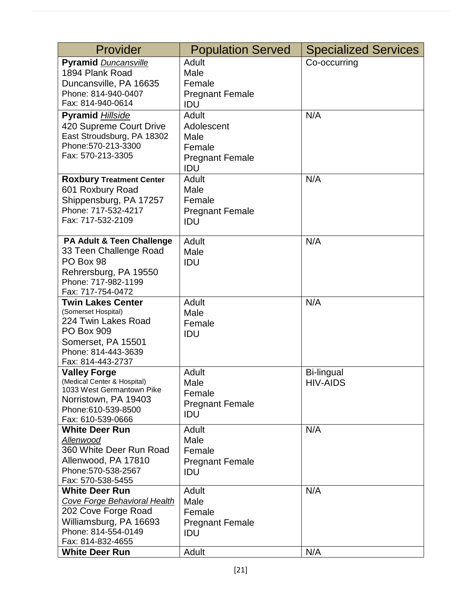| Provider                                   | <b>Population Served</b> | <b>Specialized Services</b> |
|--------------------------------------------|--------------------------|-----------------------------|
| <b>Pyramid Duncansville</b>                | Adult                    | Co-occurring                |
| 1894 Plank Road                            | Male                     |                             |
| Duncansville, PA 16635                     | Female                   |                             |
| Phone: 814-940-0407                        | <b>Pregnant Female</b>   |                             |
| Fax: 814-940-0614                          | IDU                      |                             |
|                                            | Adult                    | N/A                         |
| Pyramid Hillside                           |                          |                             |
| 420 Supreme Court Drive                    | Adolescent               |                             |
| East Stroudsburg, PA 18302                 | Male                     |                             |
| Phone: 570-213-3300                        | Female                   |                             |
| Fax: 570-213-3305                          | <b>Pregnant Female</b>   |                             |
|                                            | IDU                      |                             |
| <b>Roxbury Treatment Center</b>            | Adult                    | N/A                         |
| 601 Roxbury Road                           | Male                     |                             |
| Shippensburg, PA 17257                     | Female                   |                             |
| Phone: 717-532-4217                        | <b>Pregnant Female</b>   |                             |
| Fax: 717-532-2109                          | IDU                      |                             |
|                                            |                          |                             |
| PA Adult & Teen Challenge                  | Adult                    | N/A                         |
| 33 Teen Challenge Road                     | Male                     |                             |
| PO Box 98                                  | IDU                      |                             |
| Rehrersburg, PA 19550                      |                          |                             |
| Phone: 717-982-1199                        |                          |                             |
| Fax: 717-754-0472                          |                          |                             |
| <b>Twin Lakes Center</b>                   | Adult                    | N/A                         |
| (Somerset Hospital)                        | Male                     |                             |
| 224 Twin Lakes Road                        | Female                   |                             |
| <b>PO Box 909</b>                          | IDU                      |                             |
| Somerset, PA 15501                         |                          |                             |
| Phone: 814-443-3639                        |                          |                             |
| Fax: 814-443-2737                          |                          |                             |
| <b>Valley Forge</b>                        | Adult                    | Bi-lingual                  |
| (Medical Center & Hospital)                | Male                     | <b>HIV-AIDS</b>             |
| 1033 West Germantown Pike                  | Female                   |                             |
| Norristown, PA 19403                       | <b>Pregnant Female</b>   |                             |
| Phone:610-539-8500                         | IDU                      |                             |
| Fax: 610-539-0666<br><b>White Deer Run</b> | Adult                    | N/A                         |
|                                            |                          |                             |
| Allenwood<br>360 White Deer Run Road       | Male                     |                             |
|                                            | Female                   |                             |
| Allenwood, PA 17810<br>Phone: 570-538-2567 | <b>Pregnant Female</b>   |                             |
| Fax: 570-538-5455                          | IDU                      |                             |
| <b>White Deer Run</b>                      | Adult                    | N/A                         |
|                                            |                          |                             |
| Cove Forge Behavioral Health               | Male                     |                             |
| 202 Cove Forge Road                        | Female                   |                             |
| Williamsburg, PA 16693                     | <b>Pregnant Female</b>   |                             |
| Phone: 814-554-0149                        | IDU                      |                             |
| Fax: 814-832-4655                          |                          |                             |
| <b>White Deer Run</b>                      | Adult                    | N/A                         |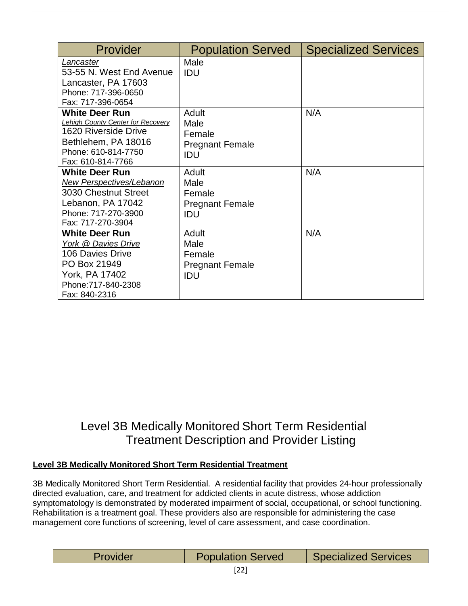| Provider                                                                                                                                                     | <b>Population Served</b>                                 | <b>Specialized Services</b> |
|--------------------------------------------------------------------------------------------------------------------------------------------------------------|----------------------------------------------------------|-----------------------------|
| Lancaster<br>53-55 N. West End Avenue<br>Lancaster, PA 17603<br>Phone: 717-396-0650<br>Fax: 717-396-0654                                                     | Male<br>IDU                                              |                             |
| <b>White Deer Run</b><br><b>Lehigh County Center for Recovery</b><br>1620 Riverside Drive<br>Bethlehem, PA 18016<br>Phone: 610-814-7750<br>Fax: 610-814-7766 | Adult<br>Male<br>Female<br><b>Pregnant Female</b><br>IDU | N/A                         |
| <b>White Deer Run</b><br>New Perspectives/Lebanon<br>3030 Chestnut Street<br>Lebanon, PA 17042<br>Phone: 717-270-3900<br>Fax: 717-270-3904                   | Adult<br>Male<br>Female<br><b>Pregnant Female</b><br>IDU | N/A                         |
| <b>White Deer Run</b><br>York @ Davies Drive<br>106 Davies Drive<br>PO Box 21949<br>York, PA 17402<br>Phone: 717-840-2308<br>Fax: 840-2316                   | Adult<br>Male<br>Female<br><b>Pregnant Female</b><br>IDU | N/A                         |

### Level 3B Medically Monitored Short Term Residential Treatment Description and Provider Listing

#### **Level 3B Medically Monitored Short Term Residential Treatment**

3B Medically Monitored Short Term Residential. A residential facility that provides 24-hour professionally directed evaluation, care, and treatment for addicted clients in acute distress, whose addiction symptomatology is demonstrated by moderated impairment of social, occupational, or school functioning. Rehabilitation is a treatment goal. These providers also are responsible for administering the case management core functions of screening, level of care assessment, and case coordination.

| <b>Population Served</b><br>Provider |  |  | <b>Specialized Services</b> |
|--------------------------------------|--|--|-----------------------------|
|--------------------------------------|--|--|-----------------------------|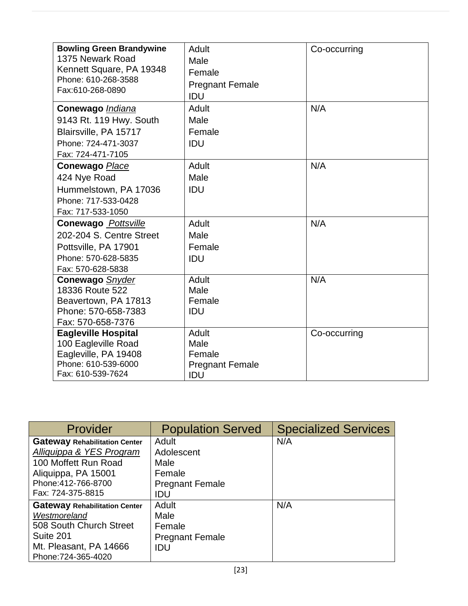| <b>Bowling Green Brandywine</b><br>1375 Newark Road<br>Kennett Square, PA 19348<br>Phone: 610-268-3588<br>Fax:610-268-0890 | Adult<br>Male<br>Female<br><b>Pregnant Female</b><br>IDU | Co-occurring |
|----------------------------------------------------------------------------------------------------------------------------|----------------------------------------------------------|--------------|
| Conewago Indiana<br>9143 Rt. 119 Hwy. South<br>Blairsville, PA 15717<br>Phone: 724-471-3037<br>Fax: 724-471-7105           | Adult<br>Male<br>Female<br>IDU                           | N/A          |
| <b>Conewago Place</b><br>424 Nye Road<br>Hummelstown, PA 17036<br>Phone: 717-533-0428<br>Fax: 717-533-1050                 | Adult<br>Male<br>IDU                                     | N/A          |
| <b>Conewago</b> Pottsville<br>202-204 S. Centre Street<br>Pottsville, PA 17901<br>Phone: 570-628-5835<br>Fax: 570-628-5838 | Adult<br>Male<br>Female<br>IDU                           | N/A          |
| <b>Conewago</b> Snyder<br>18336 Route 522<br>Beavertown, PA 17813<br>Phone: 570-658-7383<br>Fax: 570-658-7376              | Adult<br>Male<br>Female<br>IDU                           | N/A          |
| <b>Eagleville Hospital</b><br>100 Eagleville Road<br>Eagleville, PA 19408<br>Phone: 610-539-6000<br>Fax: 610-539-7624      | Adult<br>Male<br>Female<br><b>Pregnant Female</b><br>IDU | Co-occurring |

| Provider                                                                                                                                                    | <b>Population Served</b>                                               | <b>Specialized Services</b> |
|-------------------------------------------------------------------------------------------------------------------------------------------------------------|------------------------------------------------------------------------|-----------------------------|
| <b>Gateway Rehabilitation Center</b><br>Alliquippa & YES Program<br>100 Moffett Run Road<br>Aliquippa, PA 15001<br>Phone: 412-766-8700<br>Fax: 724-375-8815 | Adult<br>Adolescent<br>Male<br>Female<br><b>Pregnant Female</b><br>IDU | N/A                         |
| <b>Gateway Rehabilitation Center</b><br>Westmoreland<br>508 South Church Street<br>Suite 201<br>Mt. Pleasant, PA 14666<br>Phone: 724-365-4020               | Adult<br>Male<br>Female<br><b>Pregnant Female</b><br>IDU               | N/A                         |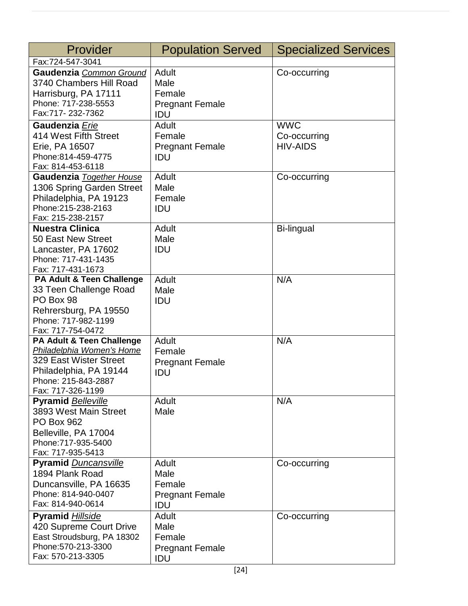| Adult<br>Co-occurring<br>Gaudenzia Common Ground<br>3740 Chambers Hill Road<br>Male<br>Harrisburg, PA 17111<br>Female<br>Phone: 717-238-5553<br><b>Pregnant Female</b><br>Fax:717-232-7362<br>IDU<br><b>WWC</b><br>Gaudenzia Erie<br>Adult<br>414 West Fifth Street<br>Female<br>Co-occurring<br><b>HIV-AIDS</b><br>Erie, PA 16507<br><b>Pregnant Female</b><br>Phone:814-459-4775<br>IDU<br>Fax: 814-453-6118<br>Adult<br>Gaudenzia Together House<br>Co-occurring<br>1306 Spring Garden Street<br>Male<br>Philadelphia, PA 19123<br>Female<br>Phone: 215-238-2163<br>IDU<br>Fax: 215-238-2157<br><b>Nuestra Clinica</b><br>Adult<br>Bi-lingual<br>50 East New Street<br>Male<br>IDU<br>Lancaster, PA 17602<br>Phone: 717-431-1435<br>Fax: 717-431-1673<br>N/A<br>Adult<br>PA Adult & Teen Challenge<br>33 Teen Challenge Road<br>Male<br>PO Box 98<br>IDU<br>Rehrersburg, PA 19550<br>Phone: 717-982-1199<br>Fax: 717-754-0472<br>N/A<br><b>PA Adult &amp; Teen Challenge</b><br>Adult | Provider         | <b>Population Served</b> | <b>Specialized Services</b> |
|------------------------------------------------------------------------------------------------------------------------------------------------------------------------------------------------------------------------------------------------------------------------------------------------------------------------------------------------------------------------------------------------------------------------------------------------------------------------------------------------------------------------------------------------------------------------------------------------------------------------------------------------------------------------------------------------------------------------------------------------------------------------------------------------------------------------------------------------------------------------------------------------------------------------------------------------------------------------------------------|------------------|--------------------------|-----------------------------|
|                                                                                                                                                                                                                                                                                                                                                                                                                                                                                                                                                                                                                                                                                                                                                                                                                                                                                                                                                                                          | Fax:724-547-3041 |                          |                             |
|                                                                                                                                                                                                                                                                                                                                                                                                                                                                                                                                                                                                                                                                                                                                                                                                                                                                                                                                                                                          |                  |                          |                             |
|                                                                                                                                                                                                                                                                                                                                                                                                                                                                                                                                                                                                                                                                                                                                                                                                                                                                                                                                                                                          |                  |                          |                             |
|                                                                                                                                                                                                                                                                                                                                                                                                                                                                                                                                                                                                                                                                                                                                                                                                                                                                                                                                                                                          |                  |                          |                             |
|                                                                                                                                                                                                                                                                                                                                                                                                                                                                                                                                                                                                                                                                                                                                                                                                                                                                                                                                                                                          |                  |                          |                             |
|                                                                                                                                                                                                                                                                                                                                                                                                                                                                                                                                                                                                                                                                                                                                                                                                                                                                                                                                                                                          |                  |                          |                             |
|                                                                                                                                                                                                                                                                                                                                                                                                                                                                                                                                                                                                                                                                                                                                                                                                                                                                                                                                                                                          |                  |                          |                             |
|                                                                                                                                                                                                                                                                                                                                                                                                                                                                                                                                                                                                                                                                                                                                                                                                                                                                                                                                                                                          |                  |                          |                             |
|                                                                                                                                                                                                                                                                                                                                                                                                                                                                                                                                                                                                                                                                                                                                                                                                                                                                                                                                                                                          |                  |                          |                             |
|                                                                                                                                                                                                                                                                                                                                                                                                                                                                                                                                                                                                                                                                                                                                                                                                                                                                                                                                                                                          |                  |                          |                             |
|                                                                                                                                                                                                                                                                                                                                                                                                                                                                                                                                                                                                                                                                                                                                                                                                                                                                                                                                                                                          |                  |                          |                             |
|                                                                                                                                                                                                                                                                                                                                                                                                                                                                                                                                                                                                                                                                                                                                                                                                                                                                                                                                                                                          |                  |                          |                             |
|                                                                                                                                                                                                                                                                                                                                                                                                                                                                                                                                                                                                                                                                                                                                                                                                                                                                                                                                                                                          |                  |                          |                             |
|                                                                                                                                                                                                                                                                                                                                                                                                                                                                                                                                                                                                                                                                                                                                                                                                                                                                                                                                                                                          |                  |                          |                             |
|                                                                                                                                                                                                                                                                                                                                                                                                                                                                                                                                                                                                                                                                                                                                                                                                                                                                                                                                                                                          |                  |                          |                             |
|                                                                                                                                                                                                                                                                                                                                                                                                                                                                                                                                                                                                                                                                                                                                                                                                                                                                                                                                                                                          |                  |                          |                             |
|                                                                                                                                                                                                                                                                                                                                                                                                                                                                                                                                                                                                                                                                                                                                                                                                                                                                                                                                                                                          |                  |                          |                             |
|                                                                                                                                                                                                                                                                                                                                                                                                                                                                                                                                                                                                                                                                                                                                                                                                                                                                                                                                                                                          |                  |                          |                             |
|                                                                                                                                                                                                                                                                                                                                                                                                                                                                                                                                                                                                                                                                                                                                                                                                                                                                                                                                                                                          |                  |                          |                             |
|                                                                                                                                                                                                                                                                                                                                                                                                                                                                                                                                                                                                                                                                                                                                                                                                                                                                                                                                                                                          |                  |                          |                             |
|                                                                                                                                                                                                                                                                                                                                                                                                                                                                                                                                                                                                                                                                                                                                                                                                                                                                                                                                                                                          |                  |                          |                             |
|                                                                                                                                                                                                                                                                                                                                                                                                                                                                                                                                                                                                                                                                                                                                                                                                                                                                                                                                                                                          |                  |                          |                             |
|                                                                                                                                                                                                                                                                                                                                                                                                                                                                                                                                                                                                                                                                                                                                                                                                                                                                                                                                                                                          |                  |                          |                             |
|                                                                                                                                                                                                                                                                                                                                                                                                                                                                                                                                                                                                                                                                                                                                                                                                                                                                                                                                                                                          |                  |                          |                             |
|                                                                                                                                                                                                                                                                                                                                                                                                                                                                                                                                                                                                                                                                                                                                                                                                                                                                                                                                                                                          |                  |                          |                             |
|                                                                                                                                                                                                                                                                                                                                                                                                                                                                                                                                                                                                                                                                                                                                                                                                                                                                                                                                                                                          |                  |                          |                             |
|                                                                                                                                                                                                                                                                                                                                                                                                                                                                                                                                                                                                                                                                                                                                                                                                                                                                                                                                                                                          |                  |                          |                             |
|                                                                                                                                                                                                                                                                                                                                                                                                                                                                                                                                                                                                                                                                                                                                                                                                                                                                                                                                                                                          |                  |                          |                             |
| Philadelphia Women's Home<br>Female                                                                                                                                                                                                                                                                                                                                                                                                                                                                                                                                                                                                                                                                                                                                                                                                                                                                                                                                                      |                  |                          |                             |
| 329 East Wister Street<br><b>Pregnant Female</b>                                                                                                                                                                                                                                                                                                                                                                                                                                                                                                                                                                                                                                                                                                                                                                                                                                                                                                                                         |                  |                          |                             |
| Philadelphia, PA 19144<br>IDU                                                                                                                                                                                                                                                                                                                                                                                                                                                                                                                                                                                                                                                                                                                                                                                                                                                                                                                                                            |                  |                          |                             |
| Phone: 215-843-2887                                                                                                                                                                                                                                                                                                                                                                                                                                                                                                                                                                                                                                                                                                                                                                                                                                                                                                                                                                      |                  |                          |                             |
| Fax: 717-326-1199                                                                                                                                                                                                                                                                                                                                                                                                                                                                                                                                                                                                                                                                                                                                                                                                                                                                                                                                                                        |                  |                          |                             |
| N/A<br><b>Pyramid Belleville</b><br>Adult                                                                                                                                                                                                                                                                                                                                                                                                                                                                                                                                                                                                                                                                                                                                                                                                                                                                                                                                                |                  |                          |                             |
| 3893 West Main Street<br>Male                                                                                                                                                                                                                                                                                                                                                                                                                                                                                                                                                                                                                                                                                                                                                                                                                                                                                                                                                            |                  |                          |                             |
| <b>PO Box 962</b>                                                                                                                                                                                                                                                                                                                                                                                                                                                                                                                                                                                                                                                                                                                                                                                                                                                                                                                                                                        |                  |                          |                             |
| Belleville, PA 17004                                                                                                                                                                                                                                                                                                                                                                                                                                                                                                                                                                                                                                                                                                                                                                                                                                                                                                                                                                     |                  |                          |                             |
| Phone: 717-935-5400                                                                                                                                                                                                                                                                                                                                                                                                                                                                                                                                                                                                                                                                                                                                                                                                                                                                                                                                                                      |                  |                          |                             |
| Fax: 717-935-5413                                                                                                                                                                                                                                                                                                                                                                                                                                                                                                                                                                                                                                                                                                                                                                                                                                                                                                                                                                        |                  |                          |                             |
| Adult<br><b>Pyramid Duncansville</b><br>Co-occurring                                                                                                                                                                                                                                                                                                                                                                                                                                                                                                                                                                                                                                                                                                                                                                                                                                                                                                                                     |                  |                          |                             |
| 1894 Plank Road<br>Male                                                                                                                                                                                                                                                                                                                                                                                                                                                                                                                                                                                                                                                                                                                                                                                                                                                                                                                                                                  |                  |                          |                             |
| Duncansville, PA 16635<br>Female                                                                                                                                                                                                                                                                                                                                                                                                                                                                                                                                                                                                                                                                                                                                                                                                                                                                                                                                                         |                  |                          |                             |
| Phone: 814-940-0407<br><b>Pregnant Female</b>                                                                                                                                                                                                                                                                                                                                                                                                                                                                                                                                                                                                                                                                                                                                                                                                                                                                                                                                            |                  |                          |                             |
| Fax: 814-940-0614<br>IDU                                                                                                                                                                                                                                                                                                                                                                                                                                                                                                                                                                                                                                                                                                                                                                                                                                                                                                                                                                 |                  |                          |                             |
| <b>Pyramid Hillside</b><br>Adult<br>Co-occurring                                                                                                                                                                                                                                                                                                                                                                                                                                                                                                                                                                                                                                                                                                                                                                                                                                                                                                                                         |                  |                          |                             |
| 420 Supreme Court Drive<br>Male                                                                                                                                                                                                                                                                                                                                                                                                                                                                                                                                                                                                                                                                                                                                                                                                                                                                                                                                                          |                  |                          |                             |
| East Stroudsburg, PA 18302<br>Female                                                                                                                                                                                                                                                                                                                                                                                                                                                                                                                                                                                                                                                                                                                                                                                                                                                                                                                                                     |                  |                          |                             |
| Phone: 570-213-3300<br><b>Pregnant Female</b>                                                                                                                                                                                                                                                                                                                                                                                                                                                                                                                                                                                                                                                                                                                                                                                                                                                                                                                                            |                  |                          |                             |
| Fax: 570-213-3305<br><b>IDU</b>                                                                                                                                                                                                                                                                                                                                                                                                                                                                                                                                                                                                                                                                                                                                                                                                                                                                                                                                                          |                  |                          |                             |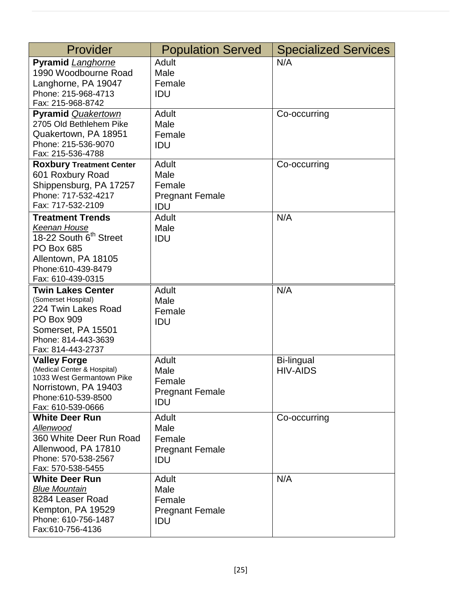| Provider                                                                                                                                                                     | <b>Population Served</b>                                 | <b>Specialized Services</b>   |
|------------------------------------------------------------------------------------------------------------------------------------------------------------------------------|----------------------------------------------------------|-------------------------------|
| <b>Pyramid Langhorne</b><br>1990 Woodbourne Road<br>Langhorne, PA 19047<br>Phone: 215-968-4713<br>Fax: 215-968-8742                                                          | Adult<br>Male<br>Female<br>IDU                           | N/A                           |
| <b>Pyramid Quakertown</b><br>2705 Old Bethlehem Pike<br>Quakertown, PA 18951<br>Phone: 215-536-9070<br>Fax: 215-536-4788                                                     | Adult<br>Male<br>Female<br>IDU                           | Co-occurring                  |
| <b>Roxbury Treatment Center</b><br>601 Roxbury Road<br>Shippensburg, PA 17257<br>Phone: 717-532-4217<br>Fax: 717-532-2109                                                    | Adult<br>Male<br>Female<br><b>Pregnant Female</b><br>IDU | Co-occurring                  |
| <b>Treatment Trends</b><br><b>Keenan House</b><br>18-22 South 6 <sup>th</sup> Street<br><b>PO Box 685</b><br>Allentown, PA 18105<br>Phone: 610-439-8479<br>Fax: 610-439-0315 | Adult<br>Male<br>IDU                                     | N/A                           |
| <b>Twin Lakes Center</b><br>(Somerset Hospital)<br>224 Twin Lakes Road<br><b>PO Box 909</b><br>Somerset, PA 15501<br>Phone: 814-443-3639<br>Fax: 814-443-2737                | Adult<br>Male<br>Female<br>IDU                           | N/A                           |
| <b>Valley Forge</b><br>(Medical Center & Hospital)<br>1033 West Germantown Pike<br>Norristown, PA 19403<br>Phone:610-539-8500<br>Fax: 610-539-0666                           | Adult<br>Male<br>Female<br><b>Pregnant Female</b><br>IDU | Bi-lingual<br><b>HIV-AIDS</b> |
| <b>White Deer Run</b><br>Allenwood<br>360 White Deer Run Road<br>Allenwood, PA 17810<br>Phone: 570-538-2567<br>Fax: 570-538-5455                                             | Adult<br>Male<br>Female<br><b>Pregnant Female</b><br>IDU | Co-occurring                  |
| <b>White Deer Run</b><br><b>Blue Mountain</b><br>8284 Leaser Road<br>Kempton, PA 19529<br>Phone: 610-756-1487<br>Fax:610-756-4136                                            | Adult<br>Male<br>Female<br><b>Pregnant Female</b><br>IDU | N/A                           |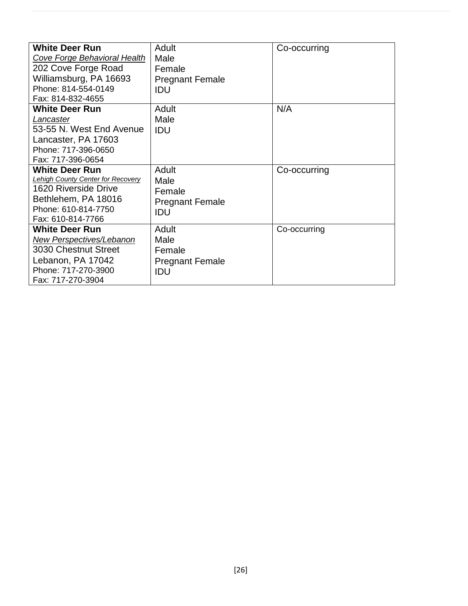| <b>White Deer Run</b>                    | Adult                  | Co-occurring |
|------------------------------------------|------------------------|--------------|
| Cove Forge Behavioral Health             | Male                   |              |
| 202 Cove Forge Road                      | Female                 |              |
| Williamsburg, PA 16693                   | <b>Pregnant Female</b> |              |
| Phone: 814-554-0149                      | IDU                    |              |
| Fax: 814-832-4655                        |                        |              |
| <b>White Deer Run</b>                    | Adult                  | N/A          |
| Lancaster                                | Male                   |              |
| 53-55 N. West End Avenue                 | IDU                    |              |
| Lancaster, PA 17603                      |                        |              |
| Phone: 717-396-0650                      |                        |              |
| Fax: 717-396-0654                        |                        |              |
| <b>White Deer Run</b>                    | Adult                  | Co-occurring |
| <b>Lehigh County Center for Recovery</b> | Male                   |              |
| 1620 Riverside Drive                     | Female                 |              |
| Bethlehem, PA 18016                      | <b>Pregnant Female</b> |              |
| Phone: 610-814-7750                      | IDU                    |              |
| Fax: 610-814-7766                        |                        |              |
| <b>White Deer Run</b>                    | Adult                  | Co-occurring |
| New Perspectives/Lebanon                 | Male                   |              |
| 3030 Chestnut Street                     | Female                 |              |
| Lebanon, PA 17042                        | <b>Pregnant Female</b> |              |
| Phone: 717-270-3900                      | IDU                    |              |
| Fax: 717-270-3904                        |                        |              |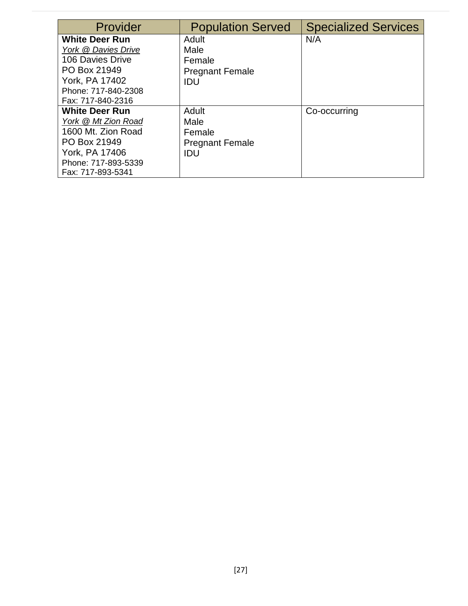| Provider              | <b>Population Served</b> | <b>Specialized Services</b> |
|-----------------------|--------------------------|-----------------------------|
| <b>White Deer Run</b> | Adult                    | N/A                         |
| York @ Davies Drive   | Male                     |                             |
| 106 Davies Drive      | Female                   |                             |
| PO Box 21949          | <b>Pregnant Female</b>   |                             |
| York, PA 17402        | IDU                      |                             |
| Phone: 717-840-2308   |                          |                             |
| Fax: 717-840-2316     |                          |                             |
| <b>White Deer Run</b> | Adult                    | Co-occurring                |
| York @ Mt Zion Road   | Male                     |                             |
| 1600 Mt. Zion Road    | Female                   |                             |
| PO Box 21949          | <b>Pregnant Female</b>   |                             |
| York, PA 17406        | IDU                      |                             |
| Phone: 717-893-5339   |                          |                             |
| Fax: 717-893-5341     |                          |                             |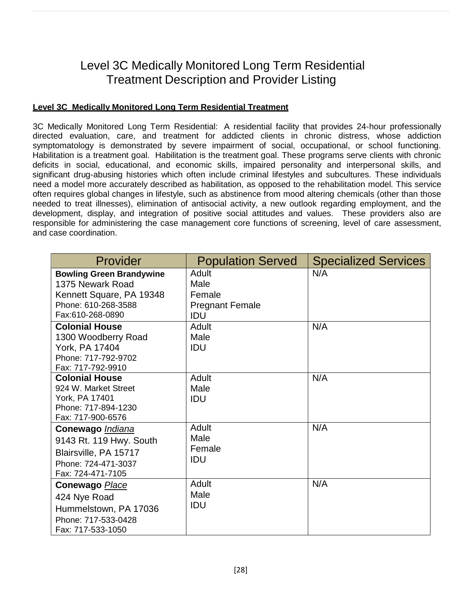### Level 3C Medically Monitored Long Term Residential Treatment Description and Provider Listing

#### **Level 3C Medically Monitored Long Term Residential Treatment**

3C Medically Monitored Long Term Residential: A residential facility that provides 24-hour professionally directed evaluation, care, and treatment for addicted clients in chronic distress, whose addiction symptomatology is demonstrated by severe impairment of social, occupational, or school functioning. Habilitation is a treatment goal. Habilitation is the treatment goal. These programs serve clients with chronic deficits in social, educational, and economic skills, impaired personality and interpersonal skills, and significant drug-abusing histories which often include criminal lifestyles and subcultures. These individuals need a model more accurately described as habilitation, as opposed to the rehabilitation model. This service often requires global changes in lifestyle, such as abstinence from mood altering chemicals (other than those needed to treat illnesses), elimination of antisocial activity, a new outlook regarding employment, and the development, display, and integration of positive social attitudes and values. These providers also are responsible for administering the case management core functions of screening, level of care assessment, and case coordination.

| Provider                                                                                                                   | <b>Population Served</b>                                 | <b>Specialized Services</b> |
|----------------------------------------------------------------------------------------------------------------------------|----------------------------------------------------------|-----------------------------|
| <b>Bowling Green Brandywine</b><br>1375 Newark Road<br>Kennett Square, PA 19348<br>Phone: 610-268-3588<br>Fax:610-268-0890 | Adult<br>Male<br>Female<br><b>Pregnant Female</b><br>IDU | N/A                         |
| <b>Colonial House</b><br>1300 Woodberry Road<br>York, PA 17404<br>Phone: 717-792-9702<br>Fax: 717-792-9910                 | Adult<br>Male<br>IDU                                     | N/A                         |
| <b>Colonial House</b><br>924 W. Market Street<br>York, PA 17401<br>Phone: 717-894-1230<br>Fax: 717-900-6576                | Adult<br>Male<br>IDU                                     | N/A                         |
| Conewago <i>Indiana</i><br>9143 Rt. 119 Hwy. South<br>Blairsville, PA 15717<br>Phone: 724-471-3037<br>Fax: 724-471-7105    | Adult<br>Male<br>Female<br>IDU                           | N/A                         |
| Conewago <b>Place</b><br>424 Nye Road<br>Hummelstown, PA 17036<br>Phone: 717-533-0428<br>Fax: 717-533-1050                 | <b>Adult</b><br>Male<br>IDU                              | N/A                         |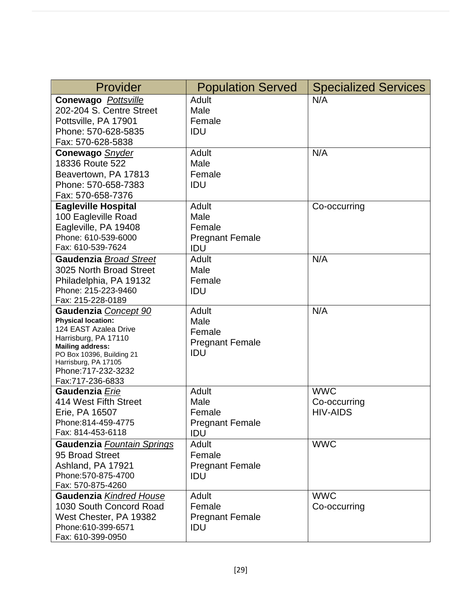| Provider                                               | <b>Population Served</b> | <b>Specialized Services</b> |
|--------------------------------------------------------|--------------------------|-----------------------------|
| <b>Conewago</b> Pottsville<br>202-204 S. Centre Street | Adult<br>Male            | N/A                         |
| Pottsville, PA 17901                                   | Female                   |                             |
| Phone: 570-628-5835                                    | IDU                      |                             |
| Fax: 570-628-5838                                      |                          |                             |
| Conewago Snyder                                        | Adult                    | N/A                         |
| 18336 Route 522                                        | Male                     |                             |
| Beavertown, PA 17813                                   | Female                   |                             |
| Phone: 570-658-7383                                    | IDU                      |                             |
| Fax: 570-658-7376                                      |                          |                             |
| <b>Eagleville Hospital</b>                             | Adult                    | Co-occurring                |
| 100 Eagleville Road                                    | Male                     |                             |
| Eagleville, PA 19408                                   | Female                   |                             |
| Phone: 610-539-6000                                    | <b>Pregnant Female</b>   |                             |
| Fax: 610-539-7624                                      | IDU                      |                             |
| <b>Gaudenzia Broad Street</b>                          | Adult                    | N/A                         |
| 3025 North Broad Street                                | Male                     |                             |
| Philadelphia, PA 19132<br>Phone: 215-223-9460          | Female                   |                             |
| Fax: 215-228-0189                                      | IDU                      |                             |
| Gaudenzia Concept 90                                   | Adult                    | N/A                         |
| <b>Physical location:</b>                              | Male                     |                             |
| 124 EAST Azalea Drive                                  | Female                   |                             |
| Harrisburg, PA 17110                                   | <b>Pregnant Female</b>   |                             |
| <b>Mailing address:</b><br>PO Box 10396, Building 21   | IDU                      |                             |
| Harrisburg, PA 17105                                   |                          |                             |
| Phone: 717-232-3232                                    |                          |                             |
| Fax:717-236-6833                                       |                          |                             |
| Gaudenzia Erie                                         | Adult                    | <b>WWC</b>                  |
| 414 West Fifth Street                                  | Male                     | Co-occurring                |
| Erie, PA 16507                                         | Female                   | <b>HIV-AIDS</b>             |
| Phone:814-459-4775                                     | <b>Pregnant Female</b>   |                             |
| Fax: 814-453-6118                                      | IDU                      |                             |
| Gaudenzia Fountain Springs                             | <b>Adult</b>             | <b>WWC</b>                  |
| 95 Broad Street                                        | Female                   |                             |
| Ashland, PA 17921                                      | <b>Pregnant Female</b>   |                             |
| Phone: 570-875-4700                                    | <b>IDU</b>               |                             |
| Fax: 570-875-4260<br>Gaudenzia Kindred House           | Adult                    | <b>WWC</b>                  |
| 1030 South Concord Road                                | Female                   | Co-occurring                |
| West Chester, PA 19382                                 | <b>Pregnant Female</b>   |                             |
| Phone:610-399-6571                                     | <b>IDU</b>               |                             |
| Fax: 610-399-0950                                      |                          |                             |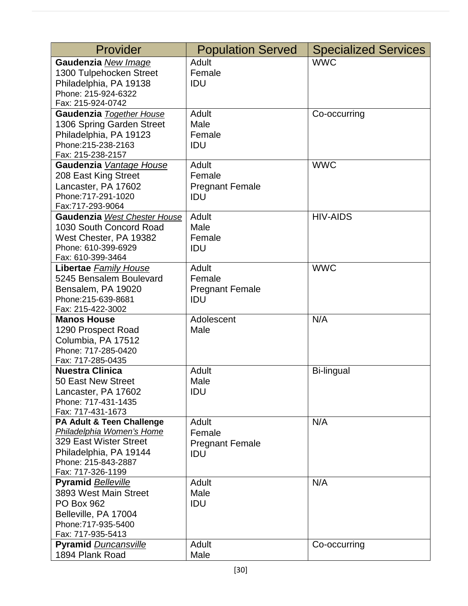| Provider                     | <b>Population Served</b> | <b>Specialized Services</b> |
|------------------------------|--------------------------|-----------------------------|
| Gaudenzia New Image          | <b>Adult</b>             | <b>WWC</b>                  |
| 1300 Tulpehocken Street      | Female                   |                             |
| Philadelphia, PA 19138       | IDU                      |                             |
| Phone: 215-924-6322          |                          |                             |
| Fax: 215-924-0742            |                          |                             |
| Gaudenzia Together House     | Adult                    | Co-occurring                |
| 1306 Spring Garden Street    | Male                     |                             |
| Philadelphia, PA 19123       | Female                   |                             |
| Phone: 215-238-2163          | IDU                      |                             |
| Fax: 215-238-2157            |                          |                             |
| Gaudenzia Vantage House      | Adult                    | <b>WWC</b>                  |
| 208 East King Street         | Female                   |                             |
| Lancaster, PA 17602          | <b>Pregnant Female</b>   |                             |
| Phone: 717-291-1020          | IDU                      |                             |
| Fax:717-293-9064             |                          |                             |
| Gaudenzia West Chester House | Adult                    | <b>HIV-AIDS</b>             |
| 1030 South Concord Road      | Male                     |                             |
| West Chester, PA 19382       | Female                   |                             |
| Phone: 610-399-6929          | IDU                      |                             |
| Fax: 610-399-3464            |                          |                             |
| Libertae Family House        | <b>Adult</b>             | <b>WWC</b>                  |
| 5245 Bensalem Boulevard      | Female                   |                             |
| Bensalem, PA 19020           | <b>Pregnant Female</b>   |                             |
| Phone: 215-639-8681          | IDU                      |                             |
| Fax: 215-422-3002            |                          |                             |
| <b>Manos House</b>           | Adolescent               | N/A                         |
| 1290 Prospect Road           | Male                     |                             |
| Columbia, PA 17512           |                          |                             |
| Phone: 717-285-0420          |                          |                             |
| Fax: 717-285-0435            |                          |                             |
| <b>Nuestra Clinica</b>       | Adult                    | <b>Bi-lingual</b>           |
| 50 East New Street           | Male                     |                             |
| Lancaster, PA 17602          | IDU                      |                             |
| Phone: 717-431-1435          |                          |                             |
| Fax: 717-431-1673            |                          |                             |
| PA Adult & Teen Challenge    | Adult                    | N/A                         |
| Philadelphia Women's Home    | Female                   |                             |
| 329 East Wister Street       | <b>Pregnant Female</b>   |                             |
| Philadelphia, PA 19144       | IDU                      |                             |
| Phone: 215-843-2887          |                          |                             |
| Fax: 717-326-1199            |                          |                             |
| <b>Pyramid Belleville</b>    | Adult                    | N/A                         |
| 3893 West Main Street        | Male                     |                             |
| <b>PO Box 962</b>            | IDU                      |                             |
| Belleville, PA 17004         |                          |                             |
| Phone: 717-935-5400          |                          |                             |
| Fax: 717-935-5413            |                          |                             |
| <b>Pyramid Duncansville</b>  | Adult                    | Co-occurring                |
| 1894 Plank Road              | Male                     |                             |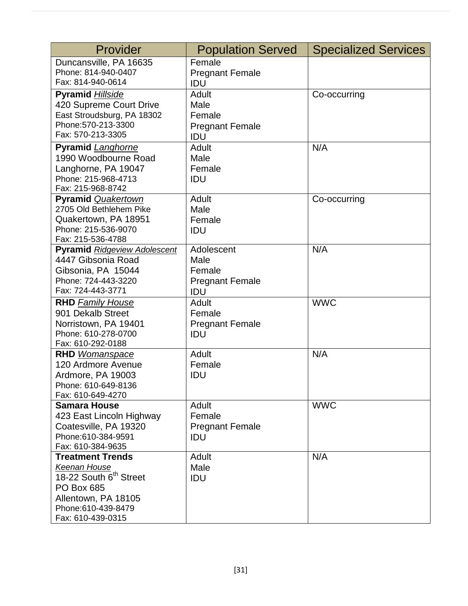| Provider                                                                                                                                                      | <b>Population Served</b>                                      | <b>Specialized Services</b> |
|---------------------------------------------------------------------------------------------------------------------------------------------------------------|---------------------------------------------------------------|-----------------------------|
| Duncansville, PA 16635<br>Phone: 814-940-0407<br>Fax: 814-940-0614                                                                                            | Female<br><b>Pregnant Female</b><br>IDU                       |                             |
| <b>Pyramid Hillside</b><br>420 Supreme Court Drive<br>East Stroudsburg, PA 18302<br>Phone: 570-213-3300<br>Fax: 570-213-3305                                  | Adult<br>Male<br>Female<br><b>Pregnant Female</b><br>IDU      | Co-occurring                |
| <b>Pyramid Langhorne</b><br>1990 Woodbourne Road<br>Langhorne, PA 19047<br>Phone: 215-968-4713<br>Fax: 215-968-8742                                           | Adult<br>Male<br>Female<br>IDU                                | N/A                         |
| <b>Pyramid Quakertown</b><br>2705 Old Bethlehem Pike<br>Quakertown, PA 18951<br>Phone: 215-536-9070<br>Fax: 215-536-4788                                      | <b>Adult</b><br>Male<br>Female<br>IDU                         | Co-occurring                |
| <b>Pyramid Ridgeview Adolescent</b><br>4447 Gibsonia Road<br>Gibsonia, PA 15044<br>Phone: 724-443-3220<br>Fax: 724-443-3771                                   | Adolescent<br>Male<br>Female<br><b>Pregnant Female</b><br>IDU | N/A                         |
| <b>RHD Family House</b><br>901 Dekalb Street<br>Norristown, PA 19401<br>Phone: 610-278-0700<br>Fax: 610-292-0188                                              | Adult<br>Female<br><b>Pregnant Female</b><br>IDU              | <b>WWC</b>                  |
| <b>RHD</b> Womanspace<br>120 Ardmore Avenue<br>Ardmore, PA 19003<br>Phone: 610-649-8136<br>Fax: 610-649-4270                                                  | Adult<br>Female<br>IDU                                        | N/A                         |
| <b>Samara House</b><br>423 East Lincoln Highway<br>Coatesville, PA 19320<br>Phone:610-384-9591<br>Fax: 610-384-9635                                           | <b>Adult</b><br>Female<br><b>Pregnant Female</b><br>IDU       | <b>WWC</b>                  |
| <b>Treatment Trends</b><br>Keenan House<br>18-22 South 6 <sup>th</sup> Street<br>PO Box 685<br>Allentown, PA 18105<br>Phone:610-439-8479<br>Fax: 610-439-0315 | Adult<br>Male<br>IDU                                          | N/A                         |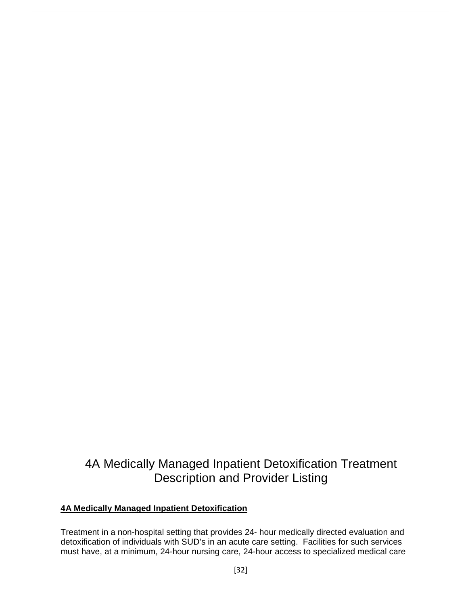# 4A Medically Managed Inpatient Detoxification Treatment Description and Provider Listing

#### **4A Medically Managed Inpatient Detoxification**

Treatment in a non-hospital setting that provides 24- hour medically directed evaluation and detoxification of individuals with SUD's in an acute care setting. Facilities for such services must have, at a minimum, 24-hour nursing care, 24-hour access to specialized medical care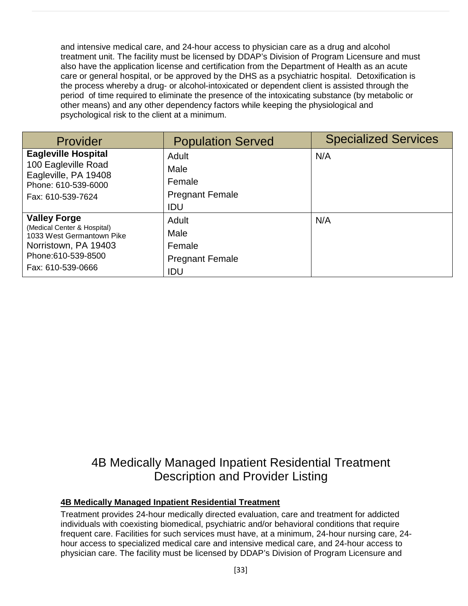and intensive medical care, and 24-hour access to physician care as a drug and alcohol treatment unit. The facility must be licensed by DDAP's Division of Program Licensure and must also have the application license and certification from the Department of Health as an acute care or general hospital, or be approved by the DHS as a psychiatric hospital. Detoxification is the process whereby a drug- or alcohol-intoxicated or dependent client is assisted through the period of time required to eliminate the presence of the intoxicating substance (by metabolic or other means) and any other dependency factors while keeping the physiological and psychological risk to the client at a minimum.

| Provider                                                                                                                                            | <b>Population Served</b>                                 | <b>Specialized Services</b> |
|-----------------------------------------------------------------------------------------------------------------------------------------------------|----------------------------------------------------------|-----------------------------|
| <b>Eagleville Hospital</b><br>100 Eagleville Road<br>Eagleville, PA 19408<br>Phone: 610-539-6000                                                    | Adult<br>Male<br>Female                                  | N/A                         |
| Fax: 610-539-7624                                                                                                                                   | <b>Pregnant Female</b><br>IDU                            |                             |
| <b>Valley Forge</b><br>(Medical Center & Hospital)<br>1033 West Germantown Pike<br>Norristown, PA 19403<br>Phone: 610-539-8500<br>Fax: 610-539-0666 | Adult<br>Male<br>Female<br><b>Pregnant Female</b><br>IDU | N/A                         |

### 4B Medically Managed Inpatient Residential Treatment Description and Provider Listing

#### **4B Medically Managed Inpatient Residential Treatment**

Treatment provides 24-hour medically directed evaluation, care and treatment for addicted individuals with coexisting biomedical, psychiatric and/or behavioral conditions that require frequent care. Facilities for such services must have, at a minimum, 24-hour nursing care, 24 hour access to specialized medical care and intensive medical care, and 24-hour access to physician care. The facility must be licensed by DDAP's Division of Program Licensure and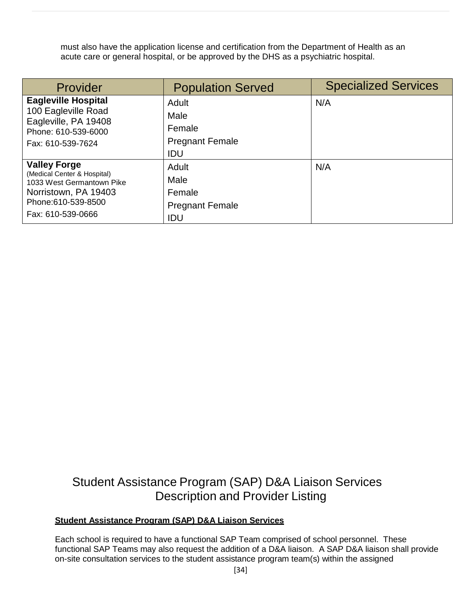must also have the application license and certification from the Department of Health as an acute care or general hospital, or be approved by the DHS as a psychiatric hospital.

| Provider                                                                                                | <b>Population Served</b>      | <b>Specialized Services</b> |
|---------------------------------------------------------------------------------------------------------|-------------------------------|-----------------------------|
| <b>Eagleville Hospital</b><br>100 Eagleville Road<br>Eagleville, PA 19408<br>Phone: 610-539-6000        | Adult<br>Male<br>Female       | N/A                         |
| Fax: 610-539-7624                                                                                       | <b>Pregnant Female</b><br>IDU |                             |
| <b>Valley Forge</b><br>(Medical Center & Hospital)<br>1033 West Germantown Pike<br>Norristown, PA 19403 | Adult<br>Male<br>Female       | N/A                         |
| Phone:610-539-8500<br>Fax: 610-539-0666                                                                 | <b>Pregnant Female</b><br>IDU |                             |

# Student Assistance Program (SAP) D&A Liaison Services Description and Provider Listing

#### **Student Assistance Program (SAP) D&A Liaison Services**

Each school is required to have a functional SAP Team comprised of school personnel. These functional SAP Teams may also request the addition of a D&A liaison. A SAP D&A liaison shall provide on-site consultation services to the student assistance program team(s) within the assigned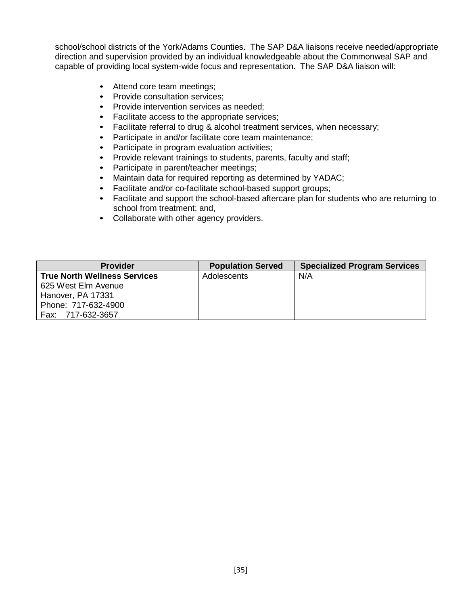school/school districts of the York/Adams Counties. The SAP D&A liaisons receive needed/appropriate direction and supervision provided by an individual knowledgeable about the Commonweal SAP and capable of providing local system-wide focus and representation. The SAP D&A liaison will:

- Attend core team meetings;
- Provide consultation services;
- Provide intervention services as needed:
- Facilitate access to the appropriate services;
- Facilitate referral to drug & alcohol treatment services, when necessary;
- Participate in and/or facilitate core team maintenance;
- Participate in program evaluation activities;
- Provide relevant trainings to students, parents, faculty and staff;
- Participate in parent/teacher meetings;
- Maintain data for required reporting as determined by YADAC;
- Facilitate and/or co-facilitate school-based support groups;
- Facilitate and support the school-based aftercare plan for students who are returning to school from treatment; and,
- Collaborate with other agency providers.

| <b>Provider</b>                     | <b>Population Served</b> | <b>Specialized Program Services</b> |
|-------------------------------------|--------------------------|-------------------------------------|
| <b>True North Wellness Services</b> | Adolescents              | N/A                                 |
| 625 West Elm Avenue                 |                          |                                     |
| Hanover, PA 17331                   |                          |                                     |
| Phone: 717-632-4900                 |                          |                                     |
| Fax: 717-632-3657                   |                          |                                     |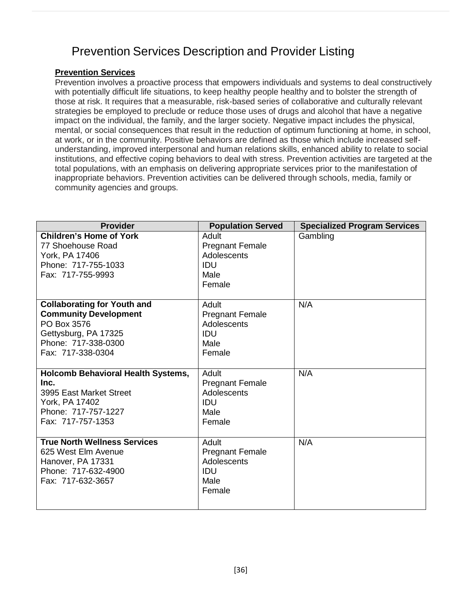# Prevention Services Description and Provider Listing

#### **Prevention Services**

Prevention involves a proactive process that empowers individuals and systems to deal constructively with potentially difficult life situations, to keep healthy people healthy and to bolster the strength of those at risk. It requires that a measurable, risk-based series of collaborative and culturally relevant strategies be employed to preclude or reduce those uses of drugs and alcohol that have a negative impact on the individual, the family, and the larger society. Negative impact includes the physical, mental, or social consequences that result in the reduction of optimum functioning at home, in school, at work, or in the community. Positive behaviors are defined as those which include increased selfunderstanding, improved interpersonal and human relations skills, enhanced ability to relate to social institutions, and effective coping behaviors to deal with stress. Prevention activities are targeted at the total populations, with an emphasis on delivering appropriate services prior to the manifestation of inappropriate behaviors. Prevention activities can be delivered through schools, media, family or community agencies and groups.

| <b>Provider</b>                                                                                                                                       | <b>Population Served</b>                                                       | <b>Specialized Program Services</b> |
|-------------------------------------------------------------------------------------------------------------------------------------------------------|--------------------------------------------------------------------------------|-------------------------------------|
| <b>Children's Home of York</b><br>77 Shoehouse Road<br>York, PA 17406<br>Phone: 717-755-1033<br>Fax: 717-755-9993                                     | Adult<br><b>Pregnant Female</b><br>Adolescents<br><b>IDU</b><br>Male<br>Female | Gambling                            |
| <b>Collaborating for Youth and</b><br><b>Community Development</b><br>PO Box 3576<br>Gettysburg, PA 17325<br>Phone: 717-338-0300<br>Fax: 717-338-0304 | Adult<br><b>Pregnant Female</b><br>Adolescents<br><b>IDU</b><br>Male<br>Female | N/A                                 |
| <b>Holcomb Behavioral Health Systems,</b><br>Inc.<br>3995 East Market Street<br>York, PA 17402<br>Phone: 717-757-1227<br>Fax: 717-757-1353            | Adult<br><b>Pregnant Female</b><br>Adolescents<br>IDU<br>Male<br>Female        | N/A                                 |
| <b>True North Wellness Services</b><br>625 West Elm Avenue<br>Hanover, PA 17331<br>Phone: 717-632-4900<br>Fax: 717-632-3657                           | Adult<br><b>Pregnant Female</b><br>Adolescents<br>IDU<br>Male<br>Female        | N/A                                 |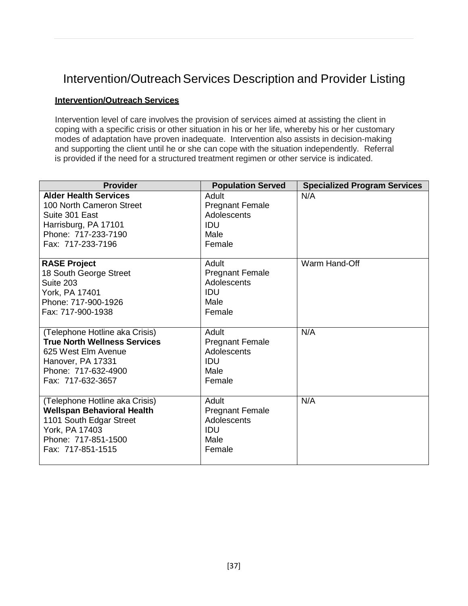# Intervention/Outreach Services Description and Provider Listing

#### **Intervention/Outreach Services**

Intervention level of care involves the provision of services aimed at assisting the client in coping with a specific crisis or other situation in his or her life, whereby his or her customary modes of adaptation have proven inadequate. Intervention also assists in decision-making and supporting the client until he or she can cope with the situation independently. Referral is provided if the need for a structured treatment regimen or other service is indicated.

| <b>Provider</b>                                                                                                                                               | <b>Population Served</b>                                                       | <b>Specialized Program Services</b> |
|---------------------------------------------------------------------------------------------------------------------------------------------------------------|--------------------------------------------------------------------------------|-------------------------------------|
| <b>Alder Health Services</b><br>100 North Cameron Street<br>Suite 301 East<br>Harrisburg, PA 17101<br>Phone: 717-233-7190<br>Fax: 717-233-7196                | Adult<br><b>Pregnant Female</b><br>Adolescents<br><b>IDU</b><br>Male<br>Female | N/A                                 |
| <b>RASE Project</b><br>18 South George Street<br>Suite 203<br>York, PA 17401<br>Phone: 717-900-1926<br>Fax: 717-900-1938                                      | Adult<br><b>Pregnant Female</b><br>Adolescents<br>IDU<br>Male<br>Female        | Warm Hand-Off                       |
| (Telephone Hotline aka Crisis)<br><b>True North Wellness Services</b><br>625 West Elm Avenue<br>Hanover, PA 17331<br>Phone: 717-632-4900<br>Fax: 717-632-3657 | Adult<br><b>Pregnant Female</b><br>Adolescents<br><b>IDU</b><br>Male<br>Female | N/A                                 |
| (Telephone Hotline aka Crisis)<br><b>Wellspan Behavioral Health</b><br>1101 South Edgar Street<br>York, PA 17403<br>Phone: 717-851-1500<br>Fax: 717-851-1515  | Adult<br><b>Pregnant Female</b><br>Adolescents<br>IDU<br>Male<br>Female        | N/A                                 |